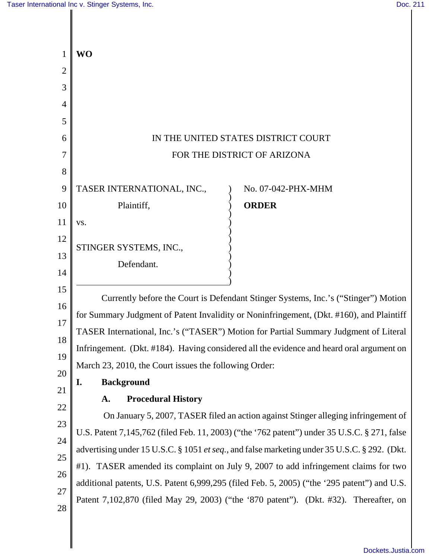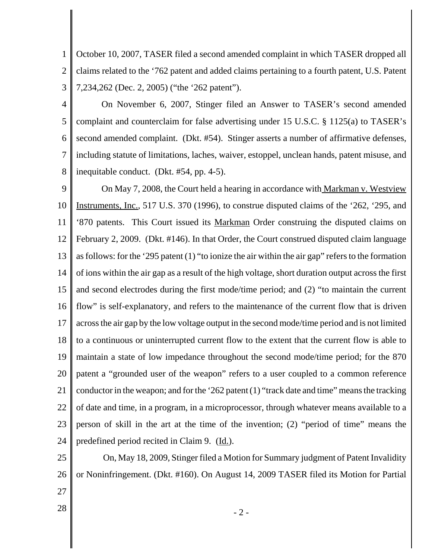1 2 3 October 10, 2007, TASER filed a second amended complaint in which TASER dropped all claims related to the '762 patent and added claims pertaining to a fourth patent, U.S. Patent 7,234,262 (Dec. 2, 2005) ("the '262 patent").

4

5 6 7 8 On November 6, 2007, Stinger filed an Answer to TASER's second amended complaint and counterclaim for false advertising under 15 U.S.C. § 1125(a) to TASER's second amended complaint. (Dkt. #54). Stinger asserts a number of affirmative defenses, including statute of limitations, laches, waiver, estoppel, unclean hands, patent misuse, and inequitable conduct. (Dkt. #54, pp. 4-5).

9 10 11 12 13 14 15 16 17 18 19 20 21 22 23 24 On May 7, 2008, the Court held a hearing in accordance with Markman v. Westview Instruments, Inc., 517 U.S. 370 (1996), to construe disputed claims of the '262, '295, and '870 patents. This Court issued its Markman Order construing the disputed claims on February 2, 2009. (Dkt. #146). In that Order, the Court construed disputed claim language as follows: for the '295 patent (1) "to ionize the air within the air gap" refers to the formation of ions within the air gap as a result of the high voltage, short duration output across the first and second electrodes during the first mode/time period; and (2) "to maintain the current flow" is self-explanatory, and refers to the maintenance of the current flow that is driven across the air gap by the low voltage output in the second mode/time period and is not limited to a continuous or uninterrupted current flow to the extent that the current flow is able to maintain a state of low impedance throughout the second mode/time period; for the 870 patent a "grounded user of the weapon" refers to a user coupled to a common reference conductor in the weapon; and for the '262 patent (1) "track date and time" means the tracking of date and time, in a program, in a microprocessor, through whatever means available to a person of skill in the art at the time of the invention; (2) "period of time" means the predefined period recited in Claim 9. (Id.).

25 26 On, May 18, 2009, Stinger filed a Motion for Summary judgment of Patent Invalidity or Noninfringement. (Dkt. #160). On August 14, 2009 TASER filed its Motion for Partial

- 27
	-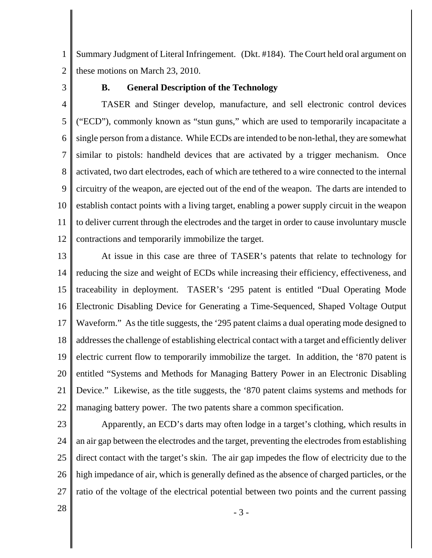1 2 Summary Judgment of Literal Infringement. (Dkt. #184). The Court held oral argument on these motions on March 23, 2010.

3

#### **B. General Description of the Technology**

4 5 6 7 8 9 10 11 12 TASER and Stinger develop, manufacture, and sell electronic control devices ("ECD"), commonly known as "stun guns," which are used to temporarily incapacitate a single person from a distance. While ECDs are intended to be non-lethal, they are somewhat similar to pistols: handheld devices that are activated by a trigger mechanism. Once activated, two dart electrodes, each of which are tethered to a wire connected to the internal circuitry of the weapon, are ejected out of the end of the weapon. The darts are intended to establish contact points with a living target, enabling a power supply circuit in the weapon to deliver current through the electrodes and the target in order to cause involuntary muscle contractions and temporarily immobilize the target.

13 14 15 16 17 18 19 20 21 22 At issue in this case are three of TASER's patents that relate to technology for reducing the size and weight of ECDs while increasing their efficiency, effectiveness, and traceability in deployment. TASER's '295 patent is entitled "Dual Operating Mode Electronic Disabling Device for Generating a Time-Sequenced, Shaped Voltage Output Waveform." As the title suggests, the '295 patent claims a dual operating mode designed to addresses the challenge of establishing electrical contact with a target and efficiently deliver electric current flow to temporarily immobilize the target. In addition, the '870 patent is entitled "Systems and Methods for Managing Battery Power in an Electronic Disabling Device." Likewise, as the title suggests, the '870 patent claims systems and methods for managing battery power. The two patents share a common specification.

23

24 25 26 27 Apparently, an ECD's darts may often lodge in a target's clothing, which results in an air gap between the electrodes and the target, preventing the electrodes from establishing direct contact with the target's skin. The air gap impedes the flow of electricity due to the high impedance of air, which is generally defined as the absence of charged particles, or the ratio of the voltage of the electrical potential between two points and the current passing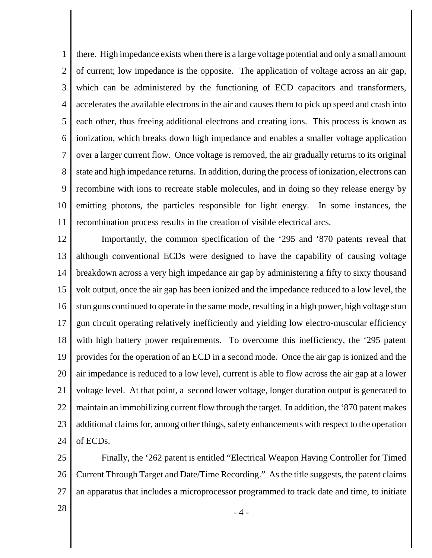1 2 3 4 5 6 7 8 9 10 11 there. High impedance exists when there is a large voltage potential and only a small amount of current; low impedance is the opposite. The application of voltage across an air gap, which can be administered by the functioning of ECD capacitors and transformers, accelerates the available electrons in the air and causes them to pick up speed and crash into each other, thus freeing additional electrons and creating ions. This process is known as ionization, which breaks down high impedance and enables a smaller voltage application over a larger current flow. Once voltage is removed, the air gradually returns to its original state and high impedance returns. In addition, during the process of ionization, electrons can recombine with ions to recreate stable molecules, and in doing so they release energy by emitting photons, the particles responsible for light energy. In some instances, the recombination process results in the creation of visible electrical arcs.

12 13 14 15 16 17 18 19 20 21 22 23 24 Importantly, the common specification of the '295 and '870 patents reveal that although conventional ECDs were designed to have the capability of causing voltage breakdown across a very high impedance air gap by administering a fifty to sixty thousand volt output, once the air gap has been ionized and the impedance reduced to a low level, the stun guns continued to operate in the same mode, resulting in a high power, high voltage stun gun circuit operating relatively inefficiently and yielding low electro-muscular efficiency with high battery power requirements. To overcome this inefficiency, the '295 patent provides for the operation of an ECD in a second mode. Once the air gap is ionized and the air impedance is reduced to a low level, current is able to flow across the air gap at a lower voltage level. At that point, a second lower voltage, longer duration output is generated to maintain an immobilizing current flow through the target. In addition, the '870 patent makes additional claims for, among other things, safety enhancements with respect to the operation of ECDs.

25 26 27 Finally, the '262 patent is entitled "Electrical Weapon Having Controller for Timed Current Through Target and Date/Time Recording." As the title suggests, the patent claims an apparatus that includes a microprocessor programmed to track date and time, to initiate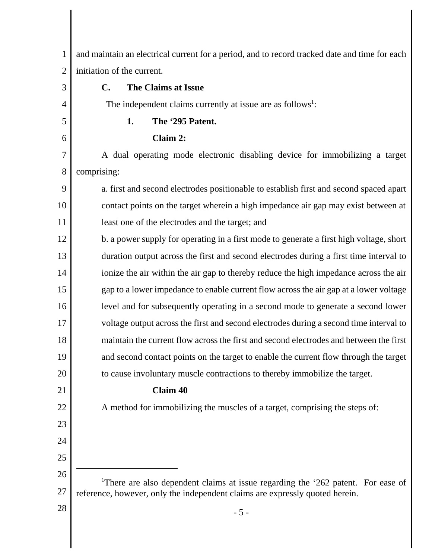| $\mathbf{1}$   | and maintain an electrical current for a period, and to record tracked date and time for each |
|----------------|-----------------------------------------------------------------------------------------------|
| $\overline{2}$ | initiation of the current.                                                                    |
| 3              | The Claims at Issue<br>$\mathbf{C}$ .                                                         |
| 4              | The independent claims currently at issue are as follows <sup>1</sup> :                       |
| 5              | 1.<br>The '295 Patent.                                                                        |
| 6              | Claim 2:                                                                                      |
| 7              | A dual operating mode electronic disabling device for immobilizing a target                   |
| 8              | comprising:                                                                                   |
| 9              | a. first and second electrodes positionable to establish first and second spaced apart        |
| 10             | contact points on the target wherein a high impedance air gap may exist between at            |
| 11             | least one of the electrodes and the target; and                                               |
| 12             | b. a power supply for operating in a first mode to generate a first high voltage, short       |
| 13             | duration output across the first and second electrodes during a first time interval to        |
| 14             | ionize the air within the air gap to thereby reduce the high impedance across the air         |
| 15             | gap to a lower impedance to enable current flow across the air gap at a lower voltage         |
| 16             | level and for subsequently operating in a second mode to generate a second lower              |
| 17             | voltage output across the first and second electrodes during a second time interval to        |
| 18             | maintain the current flow across the first and second electrodes and between the first        |
| 19             | and second contact points on the target to enable the current flow through the target         |
| 20             | to cause involuntary muscle contractions to thereby immobilize the target.                    |
| 21             | <b>Claim 40</b>                                                                               |
| 22             | A method for immobilizing the muscles of a target, comprising the steps of:                   |
| 23             |                                                                                               |
| 24             |                                                                                               |
| 25             |                                                                                               |
| 26             | <sup>1</sup> There are also dependent claims at issue regarding the '262 patent. For ease of  |
| 27             | reference, however, only the independent claims are expressly quoted herein.                  |
| 28             | $-5-$                                                                                         |
|                |                                                                                               |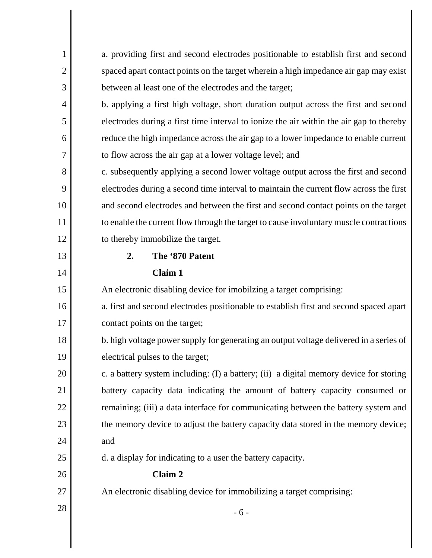| $\mathbf{1}$   | a. providing first and second electrodes positionable to establish first and second     |
|----------------|-----------------------------------------------------------------------------------------|
| $\overline{2}$ | spaced apart contact points on the target wherein a high impedance air gap may exist    |
| 3              | between al least one of the electrodes and the target;                                  |
| $\overline{4}$ | b. applying a first high voltage, short duration output across the first and second     |
| 5              | electrodes during a first time interval to ionize the air within the air gap to thereby |
| 6              | reduce the high impedance across the air gap to a lower impedance to enable current     |
| 7              | to flow across the air gap at a lower voltage level; and                                |
| 8              | c. subsequently applying a second lower voltage output across the first and second      |
| 9              | electrodes during a second time interval to maintain the current flow across the first  |
| 10             | and second electrodes and between the first and second contact points on the target     |
| 11             | to enable the current flow through the target to cause involuntary muscle contractions  |
| 12             | to thereby immobilize the target.                                                       |
| 13             | 2.<br>The '870 Patent                                                                   |
| 14             | Claim 1                                                                                 |
| 15             | An electronic disabling device for imobilzing a target comprising:                      |
| 16             | a. first and second electrodes positionable to establish first and second spaced apart  |
| 17             | contact points on the target;                                                           |
| 18             | b. high voltage power supply for generating an output voltage delivered in a series of  |
| 19             | electrical pulses to the target;                                                        |
| 20             | c. a battery system including: (I) a battery; (ii) a digital memory device for storing  |
| 21             | battery capacity data indicating the amount of battery capacity consumed or             |
| 22             | remaining; (iii) a data interface for communicating between the battery system and      |
| 23             | the memory device to adjust the battery capacity data stored in the memory device;      |
| 24             | and                                                                                     |
| 25             | d. a display for indicating to a user the battery capacity.                             |
| 26             | Claim 2                                                                                 |
| 27             | An electronic disabling device for immobilizing a target comprising:                    |
| 28             | $-6-$                                                                                   |
|                |                                                                                         |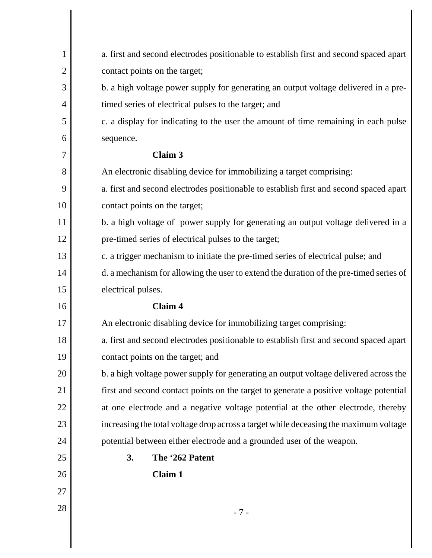| $\mathbf{1}$   | a. first and second electrodes positionable to establish first and second spaced apart |
|----------------|----------------------------------------------------------------------------------------|
| $\overline{2}$ | contact points on the target;                                                          |
| 3              | b. a high voltage power supply for generating an output voltage delivered in a pre-    |
| $\overline{4}$ | timed series of electrical pulses to the target; and                                   |
| 5              | c. a display for indicating to the user the amount of time remaining in each pulse     |
| 6              | sequence.                                                                              |
| 7              | <b>Claim 3</b>                                                                         |
| 8              | An electronic disabling device for immobilizing a target comprising:                   |
| 9              | a. first and second electrodes positionable to establish first and second spaced apart |
| 10             | contact points on the target;                                                          |
| 11             | b. a high voltage of power supply for generating an output voltage delivered in a      |
| 12             | pre-timed series of electrical pulses to the target;                                   |
| 13             | c. a trigger mechanism to initiate the pre-timed series of electrical pulse; and       |
| 14             | d. a mechanism for allowing the user to extend the duration of the pre-timed series of |
| 15             | electrical pulses.                                                                     |
| 16             | <b>Claim 4</b>                                                                         |
| 17             | An electronic disabling device for immobilizing target comprising:                     |
| 18             | a. first and second electrodes positionable to establish first and second spaced apart |
| 19             | contact points on the target; and                                                      |
| 20             | b. a high voltage power supply for generating an output voltage delivered across the   |
| 21             | first and second contact points on the target to generate a positive voltage potential |
| 22             | at one electrode and a negative voltage potential at the other electrode, thereby      |
| 23             | increasing the total voltage drop across a target while deceasing the maximum voltage  |
| 24             | potential between either electrode and a grounded user of the weapon.                  |
| 25             | 3.<br>The '262 Patent                                                                  |
| 26             | Claim 1                                                                                |
| 27             |                                                                                        |
| 28             | $-7-$                                                                                  |
|                |                                                                                        |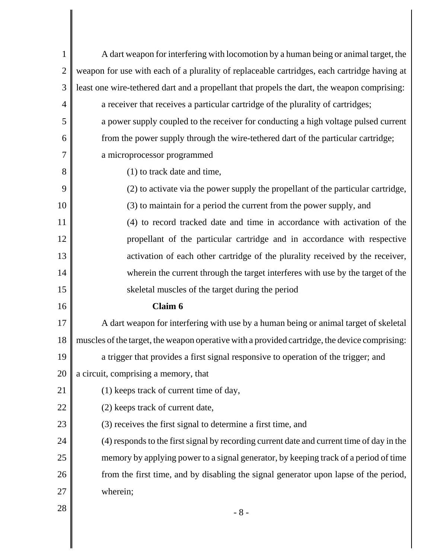| 1              | A dart weapon for interfering with locomotion by a human being or animal target, the          |
|----------------|-----------------------------------------------------------------------------------------------|
| $\overline{2}$ | weapon for use with each of a plurality of replaceable cartridges, each cartridge having at   |
| 3              | least one wire-tethered dart and a propellant that propels the dart, the weapon comprising:   |
| $\overline{4}$ | a receiver that receives a particular cartridge of the plurality of cartridges;               |
| 5              | a power supply coupled to the receiver for conducting a high voltage pulsed current           |
| 6              | from the power supply through the wire-tethered dart of the particular cartridge;             |
| 7              | a microprocessor programmed                                                                   |
| 8              | (1) to track date and time,                                                                   |
| 9              | (2) to activate via the power supply the propellant of the particular cartridge,              |
| 10             | (3) to maintain for a period the current from the power supply, and                           |
| 11             | (4) to record tracked date and time in accordance with activation of the                      |
| 12             | propellant of the particular cartridge and in accordance with respective                      |
| 13             | activation of each other cartridge of the plurality received by the receiver,                 |
| 14             | wherein the current through the target interferes with use by the target of the               |
| 15             | skeletal muscles of the target during the period                                              |
| 16             | Claim 6                                                                                       |
| 17             | A dart weapon for interfering with use by a human being or animal target of skeletal          |
| 18             | muscles of the target, the weapon operative with a provided cartridge, the device comprising: |
| 19             | a trigger that provides a first signal responsive to operation of the trigger; and            |
| 20             | a circuit, comprising a memory, that                                                          |
| 21             | (1) keeps track of current time of day,                                                       |
| 22             | (2) keeps track of current date,                                                              |
| 23             | (3) receives the first signal to determine a first time, and                                  |
| 24             | (4) responds to the first signal by recording current date and current time of day in the     |
| 25             | memory by applying power to a signal generator, by keeping track of a period of time          |
| 26             | from the first time, and by disabling the signal generator upon lapse of the period,          |
| 27             | wherein;                                                                                      |
| 28             | $-8-$                                                                                         |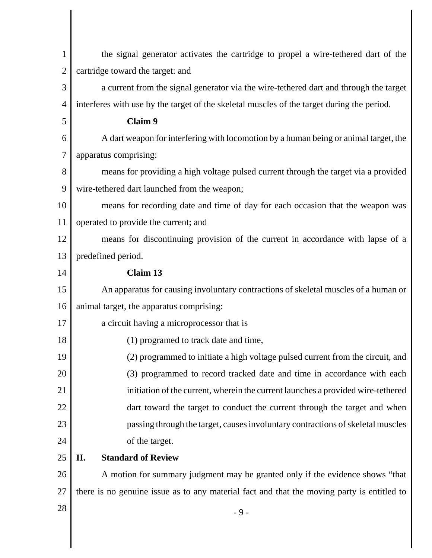| $\mathbf{1}$   | the signal generator activates the cartridge to propel a wire-tethered dart of the         |
|----------------|--------------------------------------------------------------------------------------------|
| $\overline{2}$ | cartridge toward the target: and                                                           |
| 3              | a current from the signal generator via the wire-tethered dart and through the target      |
| $\overline{4}$ | interferes with use by the target of the skeletal muscles of the target during the period. |
| 5              | Claim 9                                                                                    |
| 6              | A dart weapon for interfering with locomotion by a human being or animal target, the       |
| $\overline{7}$ | apparatus comprising:                                                                      |
| 8              | means for providing a high voltage pulsed current through the target via a provided        |
| 9              | wire-tethered dart launched from the weapon;                                               |
| 10             | means for recording date and time of day for each occasion that the weapon was             |
| 11             | operated to provide the current; and                                                       |
| 12             | means for discontinuing provision of the current in accordance with lapse of a             |
| 13             | predefined period.                                                                         |
| 14             | Claim 13                                                                                   |
| 15             | An apparatus for causing involuntary contractions of skeletal muscles of a human or        |
| 16             | animal target, the apparatus comprising:                                                   |
| 17             | a circuit having a microprocessor that is                                                  |
| 18             | (1) programed to track date and time,                                                      |
| 19             | (2) programmed to initiate a high voltage pulsed current from the circuit, and             |
| 20             | (3) programmed to record tracked date and time in accordance with each                     |
| 21             | initiation of the current, wherein the current launches a provided wire-tethered           |
| 22             | dart toward the target to conduct the current through the target and when                  |
| 23             | passing through the target, causes involuntary contractions of skeletal muscles            |
| 24             | of the target.                                                                             |
| 25             | <b>Standard of Review</b><br>II.                                                           |
| 26             | A motion for summary judgment may be granted only if the evidence shows "that              |
| 27             | there is no genuine issue as to any material fact and that the moving party is entitled to |
| 28             | $-9-$                                                                                      |
|                |                                                                                            |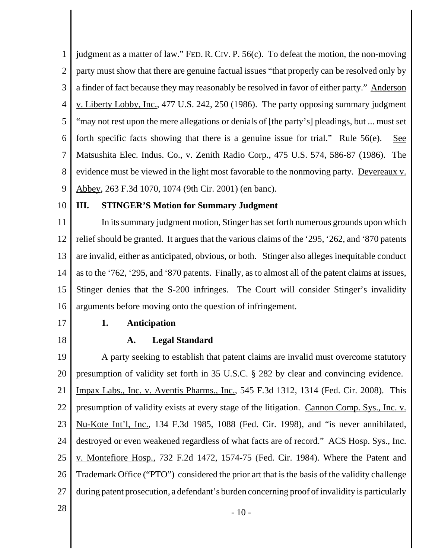1 2 3 4 5 6 7 8 9 judgment as a matter of law." FED. R. CIV. P. 56(c). To defeat the motion, the non-moving party must show that there are genuine factual issues "that properly can be resolved only by a finder of fact because they may reasonably be resolved in favor of either party." Anderson v. Liberty Lobby, Inc., 477 U.S. 242, 250 (1986). The party opposing summary judgment "may not rest upon the mere allegations or denials of [the party's] pleadings, but ... must set forth specific facts showing that there is a genuine issue for trial." Rule  $56(e)$ . See Matsushita Elec. Indus. Co., v. Zenith Radio Corp., 475 U.S. 574, 586-87 (1986). The evidence must be viewed in the light most favorable to the nonmoving party. Devereaux v. Abbey, 263 F.3d 1070, 1074 (9th Cir. 2001) (en banc).

10

# **III. STINGER'S Motion for Summary Judgment**

11 12 13 14 15 16 In its summary judgment motion, Stinger has set forth numerous grounds upon which relief should be granted. It argues that the various claims of the '295, '262, and '870 patents are invalid, either as anticipated, obvious, or both. Stinger also alleges inequitable conduct as to the '762, '295, and '870 patents. Finally, as to almost all of the patent claims at issues, Stinger denies that the S-200 infringes. The Court will consider Stinger's invalidity arguments before moving onto the question of infringement.

17

18

### **1. Anticipation**

# **A. Legal Standard**

19 20 21 22 23 24 25 26 27 A party seeking to establish that patent claims are invalid must overcome statutory presumption of validity set forth in 35 U.S.C. § 282 by clear and convincing evidence. Impax Labs., Inc. v. Aventis Pharms., Inc., 545 F.3d 1312, 1314 (Fed. Cir. 2008). This presumption of validity exists at every stage of the litigation. Cannon Comp. Sys., Inc. v. Nu-Kote Int'l, Inc., 134 F.3d 1985, 1088 (Fed. Cir. 1998), and "is never annihilated, destroyed or even weakened regardless of what facts are of record." ACS Hosp. Sys., Inc. v. Montefiore Hosp., 732 F.2d 1472, 1574-75 (Fed. Cir. 1984). Where the Patent and Trademark Office ("PTO") considered the prior art that is the basis of the validity challenge during patent prosecution, a defendant's burden concerning proof of invalidity is particularly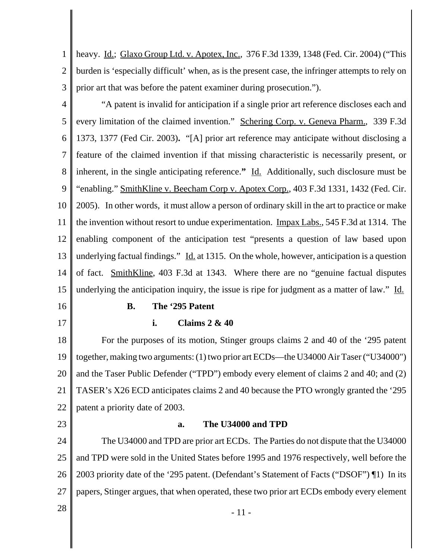1 2 3 heavy. Id.; Glaxo Group Ltd. v. Apotex, Inc., 376 F.3d 1339, 1348 (Fed. Cir. 2004) ("This burden is 'especially difficult' when, as is the present case, the infringer attempts to rely on prior art that was before the patent examiner during prosecution.").

4 5 6 7 8 9 10 11 12 13 14 15 "A patent is invalid for anticipation if a single prior art reference discloses each and every limitation of the claimed invention." Schering Corp. v. Geneva Pharm., 339 F.3d 1373, 1377 (Fed Cir. 2003)**.** "[A] prior art reference may anticipate without disclosing a feature of the claimed invention if that missing characteristic is necessarily present, or inherent, in the single anticipating reference.**"** Id. Additionally, such disclosure must be "enabling." SmithKline v. Beecham Corp v. Apotex Corp., 403 F.3d 1331, 1432 (Fed. Cir. 2005). In other words, it must allow a person of ordinary skill in the art to practice or make the invention without resort to undue experimentation. Impax Labs., 545 F.3d at 1314. The enabling component of the anticipation test "presents a question of law based upon underlying factual findings." Id. at 1315. On the whole, however, anticipation is a question of fact. SmithKline, 403 F.3d at 1343. Where there are no "genuine factual disputes underlying the anticipation inquiry, the issue is ripe for judgment as a matter of law."  $\underline{Id}$ .

16

17

#### **B. The '295 Patent**

#### **i. Claims 2 & 40**

18 19 20 21 22 For the purposes of its motion, Stinger groups claims 2 and 40 of the '295 patent together, making two arguments: (1) two prior art ECDs—the U34000 Air Taser ("U34000") and the Taser Public Defender ("TPD") embody every element of claims 2 and 40; and (2) TASER's X26 ECD anticipates claims 2 and 40 because the PTO wrongly granted the '295 patent a priority date of 2003.

23

#### **a. The U34000 and TPD**

24 25 26 27 The U34000 and TPD are prior art ECDs. The Parties do not dispute that the U34000 and TPD were sold in the United States before 1995 and 1976 respectively, well before the 2003 priority date of the '295 patent. (Defendant's Statement of Facts ("DSOF") ¶1) In its papers, Stinger argues, that when operated, these two prior art ECDs embody every element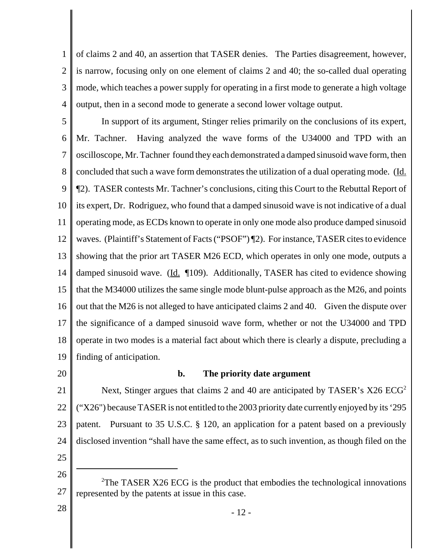1 2 3 4 of claims 2 and 40, an assertion that TASER denies. The Parties disagreement, however, is narrow, focusing only on one element of claims 2 and 40; the so-called dual operating mode, which teaches a power supply for operating in a first mode to generate a high voltage output, then in a second mode to generate a second lower voltage output.

5 6 7 8 9 10 11 12 13 14 15 16 17 18 19 In support of its argument, Stinger relies primarily on the conclusions of its expert, Mr. Tachner. Having analyzed the wave forms of the U34000 and TPD with an oscilloscope, Mr. Tachner found they each demonstrated a damped sinusoid wave form, then concluded that such a wave form demonstrates the utilization of a dual operating mode. (Id. ¶2). TASER contests Mr. Tachner's conclusions, citing this Court to the Rebuttal Report of its expert, Dr. Rodriguez, who found that a damped sinusoid wave is not indicative of a dual operating mode, as ECDs known to operate in only one mode also produce damped sinusoid waves. (Plaintiff's Statement of Facts ("PSOF") ¶2). For instance, TASER cites to evidence showing that the prior art TASER M26 ECD, which operates in only one mode, outputs a damped sinusoid wave. (Id. 109). Additionally, TASER has cited to evidence showing that the M34000 utilizes the same single mode blunt-pulse approach as the M26, and points out that the M26 is not alleged to have anticipated claims 2 and 40. Given the dispute over the significance of a damped sinusoid wave form, whether or not the U34000 and TPD operate in two modes is a material fact about which there is clearly a dispute, precluding a finding of anticipation.

20

# **b. The priority date argument**

21 22 23 24 25 Next, Stinger argues that claims 2 and 40 are anticipated by TASER's  $X26$   $ECG<sup>2</sup>$ ("X26") because TASER is not entitled to the 2003 priority date currently enjoyed by its '295 patent. Pursuant to 35 U.S.C. § 120, an application for a patent based on a previously disclosed invention "shall have the same effect, as to such invention, as though filed on the

26

<sup>27</sup> <sup>2</sup>The TASER X26 ECG is the product that embodies the technological innovations represented by the patents at issue in this case.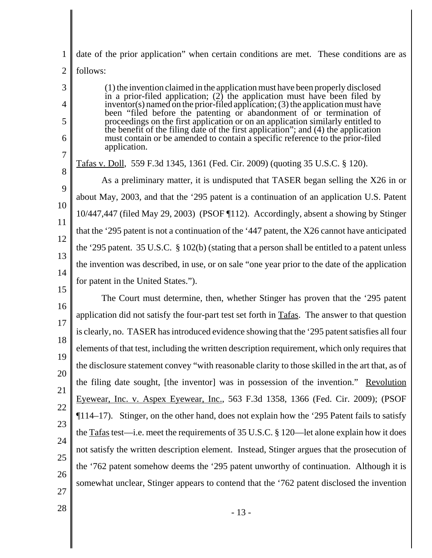1 2 date of the prior application" when certain conditions are met. These conditions are as follows:

(1) the invention claimed in the application must have been properly disclosed in a prior-filed application; (2) the application must have been filed by inventor(s) named on the prior-filed application; (3) the application must have been "filed before the patenting or abandonment of or termination of proceedings on the first application or on an application similarly entitled to the benefit of the filing date of the first application"; and (4) the application must contain or be amended to contain a specific reference to the prior-filed application.

Tafas v. Doll, 559 F.3d 1345, 1361 (Fed. Cir. 2009) (quoting 35 U.S.C. § 120).

9 10 11 12 13 14 As a preliminary matter, it is undisputed that TASER began selling the X26 in or about May, 2003, and that the '295 patent is a continuation of an application U.S. Patent 10/447,447 (filed May 29, 2003) (PSOF ¶112). Accordingly, absent a showing by Stinger that the '295 patent is not a continuation of the '447 patent, the X26 cannot have anticipated the '295 patent. 35 U.S.C. § 102(b) (stating that a person shall be entitled to a patent unless the invention was described, in use, or on sale "one year prior to the date of the application for patent in the United States.").

16 17 18 19 20 21 22 23 24 25 26 27 The Court must determine, then, whether Stinger has proven that the '295 patent application did not satisfy the four-part test set forth in Tafas. The answer to that question is clearly, no. TASER has introduced evidence showing that the '295 patent satisfies all four elements of that test, including the written description requirement, which only requires that the disclosure statement convey "with reasonable clarity to those skilled in the art that, as of the filing date sought, [the inventor] was in possession of the invention." Revolution Eyewear, Inc. v. Aspex Eyewear, Inc., 563 F.3d 1358, 1366 (Fed. Cir. 2009); (PSOF ¶114–17). Stinger, on the other hand, does not explain how the '295 Patent fails to satisfy the Tafas test—i.e. meet the requirements of 35 U.S.C. § 120—let alone explain how it does not satisfy the written description element. Instead, Stinger argues that the prosecution of the '762 patent somehow deems the '295 patent unworthy of continuation. Although it is somewhat unclear, Stinger appears to contend that the '762 patent disclosed the invention

3

4

5

6

7

8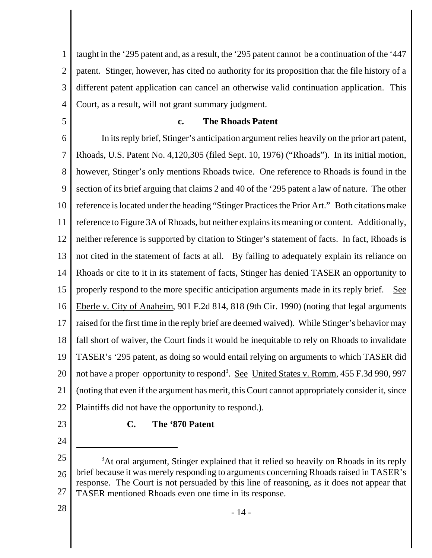1 2 3 4 taught in the '295 patent and, as a result, the '295 patent cannot be a continuation of the '447 patent. Stinger, however, has cited no authority for its proposition that the file history of a different patent application can cancel an otherwise valid continuation application. This Court, as a result, will not grant summary judgment.

5

# **c. The Rhoads Patent**

6 7 8 9 10 11 12 13 14 15 16 17 18 19 20 21 22 In its reply brief, Stinger's anticipation argument relies heavily on the prior art patent, Rhoads, U.S. Patent No. 4,120,305 (filed Sept. 10, 1976) ("Rhoads"). In its initial motion, however, Stinger's only mentions Rhoads twice. One reference to Rhoads is found in the section of its brief arguing that claims 2 and 40 of the '295 patent a law of nature. The other reference is located under the heading "Stinger Practices the Prior Art." Both citations make reference to Figure 3A of Rhoads, but neither explains its meaning or content. Additionally, neither reference is supported by citation to Stinger's statement of facts. In fact, Rhoads is not cited in the statement of facts at all. By failing to adequately explain its reliance on Rhoads or cite to it in its statement of facts, Stinger has denied TASER an opportunity to properly respond to the more specific anticipation arguments made in its reply brief. See Eberle v. City of Anaheim, 901 F.2d 814, 818 (9th Cir. 1990) (noting that legal arguments raised for the first time in the reply brief are deemed waived). While Stinger's behavior may fall short of waiver, the Court finds it would be inequitable to rely on Rhoads to invalidate TASER's '295 patent, as doing so would entail relying on arguments to which TASER did not have a proper opportunity to respond<sup>3</sup>. See United States v. Romm, 455 F.3d 990, 997 (noting that even if the argument has merit, this Court cannot appropriately consider it, since Plaintiffs did not have the opportunity to respond.).

23

24

# **C. The '870 Patent**

<sup>25</sup> 26 27 <sup>3</sup>At oral argument, Stinger explained that it relied so heavily on Rhoads in its reply brief because it was merely responding to arguments concerning Rhoads raised in TASER's response. The Court is not persuaded by this line of reasoning, as it does not appear that TASER mentioned Rhoads even one time in its response.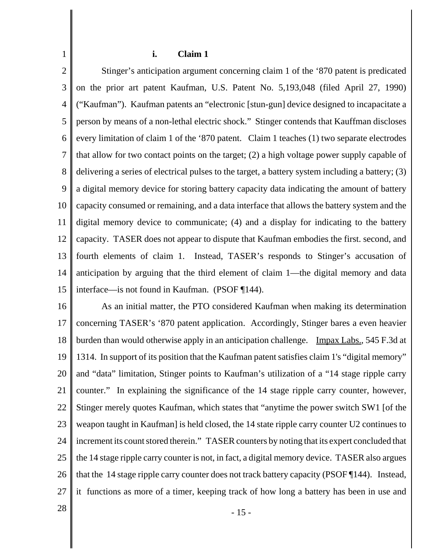#### **i. Claim 1**

2 3 4 5 6 7 8 9 10 11 12 13 14 15 Stinger's anticipation argument concerning claim 1 of the '870 patent is predicated on the prior art patent Kaufman, U.S. Patent No. 5,193,048 (filed April 27, 1990) ("Kaufman"). Kaufman patents an "electronic [stun-gun] device designed to incapacitate a person by means of a non-lethal electric shock." Stinger contends that Kauffman discloses every limitation of claim 1 of the '870 patent. Claim 1 teaches (1) two separate electrodes that allow for two contact points on the target; (2) a high voltage power supply capable of delivering a series of electrical pulses to the target, a battery system including a battery; (3) a digital memory device for storing battery capacity data indicating the amount of battery capacity consumed or remaining, and a data interface that allows the battery system and the digital memory device to communicate; (4) and a display for indicating to the battery capacity. TASER does not appear to dispute that Kaufman embodies the first. second, and fourth elements of claim 1. Instead, TASER's responds to Stinger's accusation of anticipation by arguing that the third element of claim 1—the digital memory and data interface—is not found in Kaufman. (PSOF ¶144).

16 17 18 19 20 21 22 23 24 25 26 27 As an initial matter, the PTO considered Kaufman when making its determination concerning TASER's '870 patent application. Accordingly, Stinger bares a even heavier burden than would otherwise apply in an anticipation challenge. Impax Labs., 545 F.3d at 1314. In support of its position that the Kaufman patent satisfies claim 1's "digital memory" and "data" limitation, Stinger points to Kaufman's utilization of a "14 stage ripple carry counter." In explaining the significance of the 14 stage ripple carry counter, however, Stinger merely quotes Kaufman, which states that "anytime the power switch SW1 [of the weapon taught in Kaufman] is held closed, the 14 state ripple carry counter U2 continues to increment its count stored therein." TASER counters by noting that its expert concluded that the 14 stage ripple carry counter is not, in fact, a digital memory device. TASER also argues that the 14 stage ripple carry counter does not track battery capacity (PSOF ¶144). Instead, it functions as more of a timer, keeping track of how long a battery has been in use and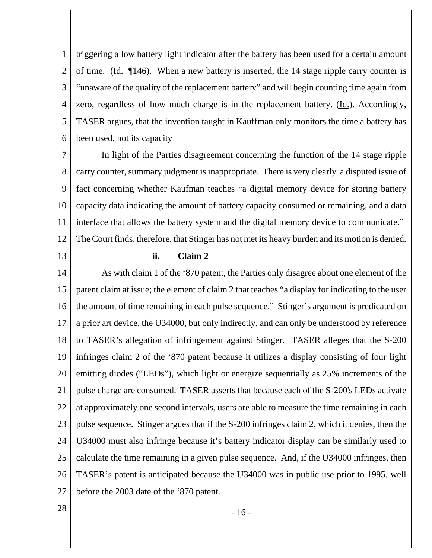1 2 3 4 5 6 triggering a low battery light indicator after the battery has been used for a certain amount of time. ( $\underline{Id}$ .  $\P$ 146). When a new battery is inserted, the 14 stage ripple carry counter is "unaware of the quality of the replacement battery" and will begin counting time again from zero, regardless of how much charge is in the replacement battery. (Id.). Accordingly, TASER argues, that the invention taught in Kauffman only monitors the time a battery has been used, not its capacity

7 8 9 10 11 12 In light of the Parties disagreement concerning the function of the 14 stage ripple carry counter, summary judgment is inappropriate. There is very clearly a disputed issue of fact concerning whether Kaufman teaches "a digital memory device for storing battery capacity data indicating the amount of battery capacity consumed or remaining, and a data interface that allows the battery system and the digital memory device to communicate." The Court finds, therefore, that Stinger has not met its heavy burden and its motion is denied.

13

# **ii. Claim 2**

14 15 16 17 18 19 20 21 22 23 24 25 26 27 As with claim 1 of the '870 patent, the Parties only disagree about one element of the patent claim at issue; the element of claim 2 that teaches "a display for indicating to the user the amount of time remaining in each pulse sequence." Stinger's argument is predicated on a prior art device, the U34000, but only indirectly, and can only be understood by reference to TASER's allegation of infringement against Stinger. TASER alleges that the S-200 infringes claim 2 of the '870 patent because it utilizes a display consisting of four light emitting diodes ("LEDs"), which light or energize sequentially as 25% increments of the pulse charge are consumed. TASER asserts that because each of the S-200's LEDs activate at approximately one second intervals, users are able to measure the time remaining in each pulse sequence. Stinger argues that if the S-200 infringes claim 2, which it denies, then the U34000 must also infringe because it's battery indicator display can be similarly used to calculate the time remaining in a given pulse sequence. And, if the U34000 infringes, then TASER's patent is anticipated because the U34000 was in public use prior to 1995, well before the 2003 date of the '870 patent.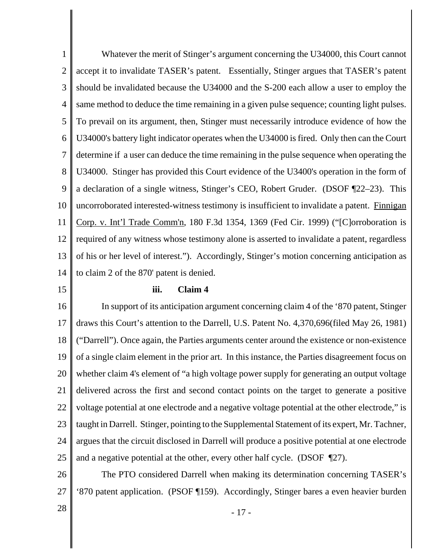1 2 3 4 5 6 7 8 9 10 11 12 13 14 Whatever the merit of Stinger's argument concerning the U34000, this Court cannot accept it to invalidate TASER's patent. Essentially, Stinger argues that TASER's patent should be invalidated because the U34000 and the S-200 each allow a user to employ the same method to deduce the time remaining in a given pulse sequence; counting light pulses. To prevail on its argument, then, Stinger must necessarily introduce evidence of how the U34000's battery light indicator operates when the U34000 is fired. Only then can the Court determine if a user can deduce the time remaining in the pulse sequence when operating the U34000. Stinger has provided this Court evidence of the U3400's operation in the form of a declaration of a single witness, Stinger's CEO, Robert Gruder. (DSOF ¶22–23). This uncorroborated interested-witness testimony is insufficient to invalidate a patent. Finnigan Corp. v. Int'l Trade Comm'n, 180 F.3d 1354, 1369 (Fed Cir. 1999) ("[C]orroboration is required of any witness whose testimony alone is asserted to invalidate a patent, regardless of his or her level of interest."). Accordingly, Stinger's motion concerning anticipation as to claim 2 of the 870' patent is denied.

#### 15

#### **iii. Claim 4**

16 17 18 19 20 21 22 23 24 25 In support of its anticipation argument concerning claim 4 of the '870 patent, Stinger draws this Court's attention to the Darrell, U.S. Patent No. 4,370,696(filed May 26, 1981) ("Darrell"). Once again, the Parties arguments center around the existence or non-existence of a single claim element in the prior art. In this instance, the Parties disagreement focus on whether claim 4's element of "a high voltage power supply for generating an output voltage delivered across the first and second contact points on the target to generate a positive voltage potential at one electrode and a negative voltage potential at the other electrode," is taught in Darrell. Stinger, pointing to the Supplemental Statement of its expert, Mr. Tachner, argues that the circuit disclosed in Darrell will produce a positive potential at one electrode and a negative potential at the other, every other half cycle. (DSOF ¶27).

26 27 The PTO considered Darrell when making its determination concerning TASER's '870 patent application. (PSOF ¶159). Accordingly, Stinger bares a even heavier burden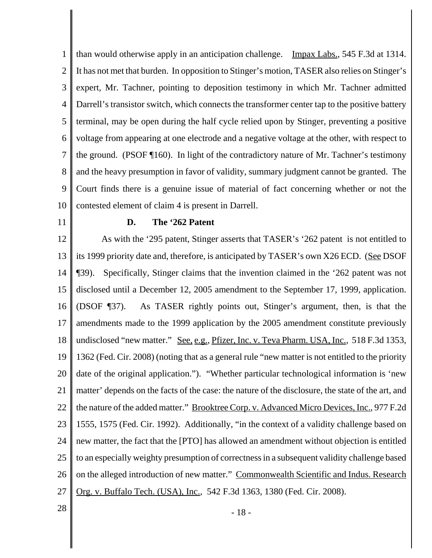1 2 3 4 5 6 7 8 9 10 than would otherwise apply in an anticipation challenge. Impax Labs., 545 F.3d at 1314. It has not met that burden. In opposition to Stinger's motion, TASER also relies on Stinger's expert, Mr. Tachner, pointing to deposition testimony in which Mr. Tachner admitted Darrell's transistor switch, which connects the transformer center tap to the positive battery terminal, may be open during the half cycle relied upon by Stinger, preventing a positive voltage from appearing at one electrode and a negative voltage at the other, with respect to the ground. (PSOF ¶160). In light of the contradictory nature of Mr. Tachner's testimony and the heavy presumption in favor of validity, summary judgment cannot be granted. The Court finds there is a genuine issue of material of fact concerning whether or not the contested element of claim 4 is present in Darrell.

11

# **D. The '262 Patent**

12 13 14 15 16 17 18 19 20 21 22 23 24 25 26 27 As with the '295 patent, Stinger asserts that TASER's '262 patent is not entitled to its 1999 priority date and, therefore, is anticipated by TASER's own X26 ECD. (See DSOF ¶39). Specifically, Stinger claims that the invention claimed in the '262 patent was not disclosed until a December 12, 2005 amendment to the September 17, 1999, application. (DSOF ¶37). As TASER rightly points out, Stinger's argument, then, is that the amendments made to the 1999 application by the 2005 amendment constitute previously undisclosed "new matter." <u>See, e.g., Pfizer, Inc. v. Teva Pharm. USA, Inc.</u>, 518 F.3d 1353, 1362 (Fed. Cir. 2008) (noting that as a general rule "new matter is not entitled to the priority date of the original application."). "Whether particular technological information is 'new matter' depends on the facts of the case: the nature of the disclosure, the state of the art, and the nature of the added matter." Brooktree Corp. v. Advanced Micro Devices, Inc., 977 F.2d 1555, 1575 (Fed. Cir. 1992). Additionally, "in the context of a validity challenge based on new matter, the fact that the [PTO] has allowed an amendment without objection is entitled to an especially weighty presumption of correctness in a subsequent validity challenge based on the alleged introduction of new matter." Commonwealth Scientific and Indus. Research Org. v. Buffalo Tech. (USA), Inc., 542 F.3d 1363, 1380 (Fed. Cir. 2008).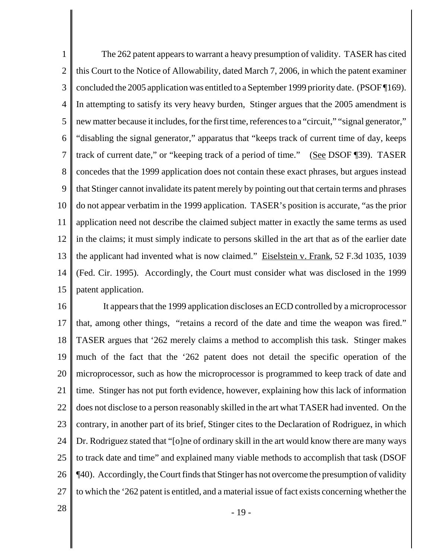1 2 3 4 5 6 7 8 9 10 11 12 13 14 15 The 262 patent appears to warrant a heavy presumption of validity. TASER has cited this Court to the Notice of Allowability, dated March 7, 2006, in which the patent examiner concluded the 2005 application was entitled to a September 1999 priority date. (PSOF ¶169). In attempting to satisfy its very heavy burden, Stinger argues that the 2005 amendment is new matter because it includes, for the first time, references to a "circuit," "signal generator," "disabling the signal generator," apparatus that "keeps track of current time of day, keeps track of current date," or "keeping track of a period of time." (See DSOF ¶39). TASER concedes that the 1999 application does not contain these exact phrases, but argues instead that Stinger cannot invalidate its patent merely by pointing out that certain terms and phrases do not appear verbatim in the 1999 application. TASER's position is accurate, "as the prior application need not describe the claimed subject matter in exactly the same terms as used in the claims; it must simply indicate to persons skilled in the art that as of the earlier date the applicant had invented what is now claimed." Eiselstein v. Frank, 52 F.3d 1035, 1039 (Fed. Cir. 1995). Accordingly, the Court must consider what was disclosed in the 1999 patent application.

16 17 18 19 20 21 22 23 24 25 26 27 It appears that the 1999 application discloses an ECD controlled by a microprocessor that, among other things, "retains a record of the date and time the weapon was fired." TASER argues that '262 merely claims a method to accomplish this task. Stinger makes much of the fact that the '262 patent does not detail the specific operation of the microprocessor, such as how the microprocessor is programmed to keep track of date and time. Stinger has not put forth evidence, however, explaining how this lack of information does not disclose to a person reasonably skilled in the art what TASER had invented. On the contrary, in another part of its brief, Stinger cites to the Declaration of Rodriguez, in which Dr. Rodriguez stated that "[o]ne of ordinary skill in the art would know there are many ways to track date and time" and explained many viable methods to accomplish that task (DSOF ¶40). Accordingly, the Court finds that Stinger has not overcome the presumption of validity to which the '262 patent is entitled, and a material issue of fact exists concerning whether the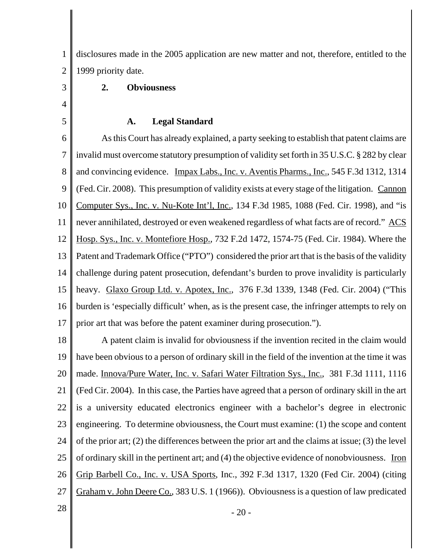1 2 disclosures made in the 2005 application are new matter and not, therefore, entitled to the 1999 priority date.

# **2. Obviousness**

3

4

5

#### **A. Legal Standard**

6 7 8 9 10 11 12 13 14 15 16 17 As this Court has already explained, a party seeking to establish that patent claims are invalid must overcome statutory presumption of validity set forth in 35 U.S.C. § 282 by clear and convincing evidence. Impax Labs., Inc. v. Aventis Pharms., Inc., 545 F.3d 1312, 1314 (Fed. Cir. 2008). This presumption of validity exists at every stage of the litigation. Cannon Computer Sys., Inc. v. Nu-Kote Int'l, Inc., 134 F.3d 1985, 1088 (Fed. Cir. 1998), and "is never annihilated, destroyed or even weakened regardless of what facts are of record." ACS Hosp. Sys., Inc. v. Montefiore Hosp., 732 F.2d 1472, 1574-75 (Fed. Cir. 1984). Where the Patent and Trademark Office ("PTO") considered the prior art that is the basis of the validity challenge during patent prosecution, defendant's burden to prove invalidity is particularly heavy. Glaxo Group Ltd. v. Apotex, Inc., 376 F.3d 1339, 1348 (Fed. Cir. 2004) ("This burden is 'especially difficult' when, as is the present case, the infringer attempts to rely on prior art that was before the patent examiner during prosecution.").

18 19 20 21 22 23 24 25 26 27 A patent claim is invalid for obviousness if the invention recited in the claim would have been obvious to a person of ordinary skill in the field of the invention at the time it was made. Innova/Pure Water, Inc. v. Safari Water Filtration Sys., Inc., 381 F.3d 1111, 1116 (Fed Cir. 2004). In this case, the Parties have agreed that a person of ordinary skill in the art is a university educated electronics engineer with a bachelor's degree in electronic engineering. To determine obviousness, the Court must examine: (1) the scope and content of the prior art; (2) the differences between the prior art and the claims at issue; (3) the level of ordinary skill in the pertinent art; and (4) the objective evidence of nonobviousness. Iron Grip Barbell Co., Inc. v. USA Sports, Inc., 392 F.3d 1317, 1320 (Fed Cir. 2004) (citing Graham v. John Deere Co., 383 U.S. 1 (1966)). Obviousness is a question of law predicated

 $28$   $-20$  -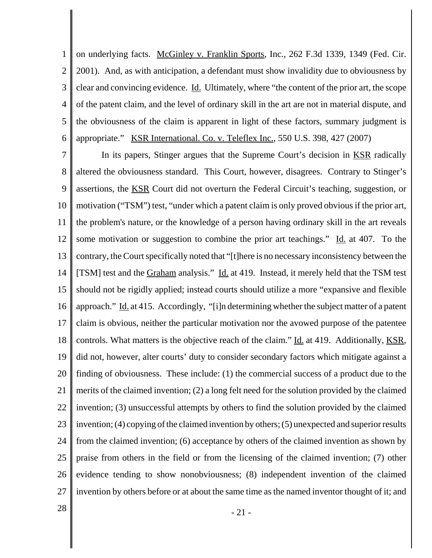1 2 3 4 5 6 on underlying facts. McGinley v. Franklin Sports, Inc., 262 F.3d 1339, 1349 (Fed. Cir. 2001). And, as with anticipation, a defendant must show invalidity due to obviousness by clear and convincing evidence. Id. Ultimately, where "the content of the prior art, the scope of the patent claim, and the level of ordinary skill in the art are not in material dispute, and the obviousness of the claim is apparent in light of these factors, summary judgment is appropriate." KSR International. Co. v. Teleflex Inc., 550 U.S. 398, 427 (2007)

7 8 9 10 11 12 13 14 15 16 17 18 19 20 21 22 23 24 25 26 27 In its papers, Stinger argues that the Supreme Court's decision in KSR radically altered the obviousness standard. This Court, however, disagrees. Contrary to Stinger's assertions, the KSR Court did not overturn the Federal Circuit's teaching, suggestion, or motivation ("TSM") test, "under which a patent claim is only proved obvious if the prior art, the problem's nature, or the knowledge of a person having ordinary skill in the art reveals some motivation or suggestion to combine the prior art teachings." Id. at 407. To the contrary, the Court specifically noted that "[t]here is no necessary inconsistency between the [TSM] test and the Graham analysis." Id. at 419. Instead, it merely held that the TSM test should not be rigidly applied; instead courts should utilize a more "expansive and flexible approach." Id. at 415. Accordingly, "[i]n determining whether the subject matter of a patent claim is obvious, neither the particular motivation nor the avowed purpose of the patentee controls. What matters is the objective reach of the claim." <u>Id.</u> at 419. Additionally, KSR, did not, however, alter courts' duty to consider secondary factors which mitigate against a finding of obviousness. These include: (1) the commercial success of a product due to the merits of the claimed invention; (2) a long felt need for the solution provided by the claimed invention; (3) unsuccessful attempts by others to find the solution provided by the claimed invention; (4) copying of the claimed invention by others; (5) unexpected and superior results from the claimed invention; (6) acceptance by others of the claimed invention as shown by praise from others in the field or from the licensing of the claimed invention; (7) other evidence tending to show nonobviousness; (8) independent invention of the claimed invention by others before or at about the same time as the named inventor thought of it; and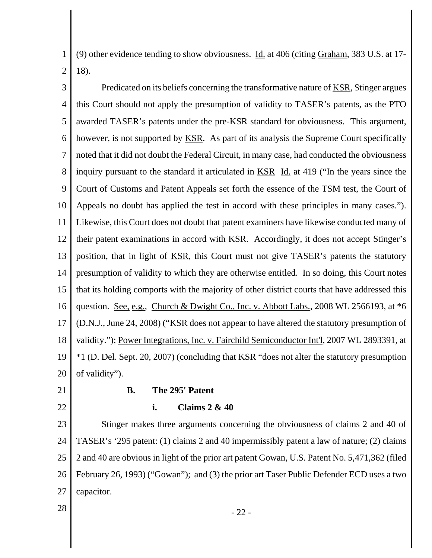1 2 (9) other evidence tending to show obviousness. Id. at 406 (citing Graham, 383 U.S. at 17- 18).

3 4 5 6 7 8 9 10 11 12 13 14 15 16 17 18 19 20 Predicated on its beliefs concerning the transformative nature of <u>KSR</u>, Stinger argues this Court should not apply the presumption of validity to TASER's patents, as the PTO awarded TASER's patents under the pre-KSR standard for obviousness. This argument, however, is not supported by <u>KSR</u>. As part of its analysis the Supreme Court specifically noted that it did not doubt the Federal Circuit, in many case, had conducted the obviousness inquiry pursuant to the standard it articulated in KSR Id. at 419 ("In the years since the Court of Customs and Patent Appeals set forth the essence of the TSM test, the Court of Appeals no doubt has applied the test in accord with these principles in many cases."). Likewise, this Court does not doubt that patent examiners have likewise conducted many of their patent examinations in accord with KSR. Accordingly, it does not accept Stinger's position, that in light of KSR, this Court must not give TASER's patents the statutory presumption of validity to which they are otherwise entitled. In so doing, this Court notes that its holding comports with the majority of other district courts that have addressed this question. See, e.g., Church & Dwight Co., Inc. v. Abbott Labs., 2008 WL 2566193, at \*6 (D.N.J., June 24, 2008) ("KSR does not appear to have altered the statutory presumption of validity."); Power Integrations, Inc. v. Fairchild Semiconductor Int'l, 2007 WL 2893391, at \*1 (D. Del. Sept. 20, 2007) (concluding that KSR "does not alter the statutory presumption of validity").

21

22

# **B. The 295' Patent**

**i. Claims 2 & 40**

23 24 25 26 27 Stinger makes three arguments concerning the obviousness of claims 2 and 40 of TASER's '295 patent: (1) claims 2 and 40 impermissibly patent a law of nature; (2) claims 2 and 40 are obvious in light of the prior art patent Gowan, U.S. Patent No. 5,471,362 (filed February 26, 1993) ("Gowan"); and (3) the prior art Taser Public Defender ECD uses a two capacitor.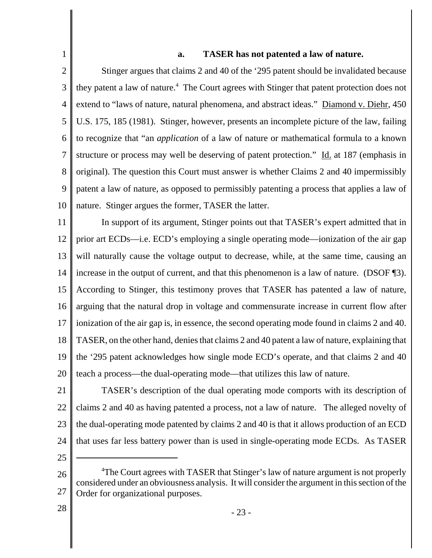# **a. TASER has not patented a law of nature.**

2 3 4 5 6 7 8 9 10 Stinger argues that claims 2 and 40 of the '295 patent should be invalidated because they patent a law of nature.<sup>4</sup> The Court agrees with Stinger that patent protection does not extend to "laws of nature, natural phenomena, and abstract ideas." Diamond v. Diehr, 450 U.S. 175, 185 (1981). Stinger, however, presents an incomplete picture of the law, failing to recognize that "an *application* of a law of nature or mathematical formula to a known structure or process may well be deserving of patent protection." Id. at 187 (emphasis in original). The question this Court must answer is whether Claims 2 and 40 impermissibly patent a law of nature, as opposed to permissibly patenting a process that applies a law of nature. Stinger argues the former, TASER the latter.

11 12 13 14 15 16 17 18 19 20 In support of its argument, Stinger points out that TASER's expert admitted that in prior art ECDs—i.e. ECD's employing a single operating mode—ionization of the air gap will naturally cause the voltage output to decrease, while, at the same time, causing an increase in the output of current, and that this phenomenon is a law of nature. (DSOF ¶3). According to Stinger, this testimony proves that TASER has patented a law of nature, arguing that the natural drop in voltage and commensurate increase in current flow after ionization of the air gap is, in essence, the second operating mode found in claims 2 and 40. TASER, on the other hand, denies that claims 2 and 40 patent a law of nature, explaining that the '295 patent acknowledges how single mode ECD's operate, and that claims 2 and 40 teach a process—the dual-operating mode—that utilizes this law of nature.

- 21 22 23 24 TASER's description of the dual operating mode comports with its description of claims 2 and 40 as having patented a process, not a law of nature. The alleged novelty of the dual-operating mode patented by claims 2 and 40 is that it allows production of an ECD that uses far less battery power than is used in single-operating mode ECDs. As TASER
- 25

1

<sup>26</sup> 27 <sup>4</sup>The Court agrees with TASER that Stinger's law of nature argument is not properly considered under an obviousness analysis. It will consider the argument in this section of the Order for organizational purposes.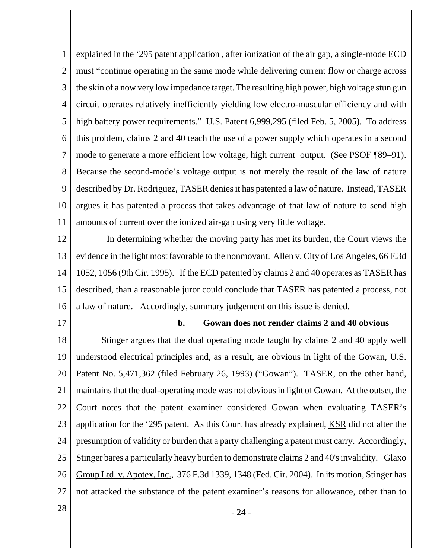1 2 3 4 5 6 7 8 9 10 11 explained in the '295 patent application , after ionization of the air gap, a single-mode ECD must "continue operating in the same mode while delivering current flow or charge across the skin of a now very low impedance target. The resulting high power, high voltage stun gun circuit operates relatively inefficiently yielding low electro-muscular efficiency and with high battery power requirements." U.S. Patent 6,999,295 (filed Feb. 5, 2005). To address this problem, claims 2 and 40 teach the use of a power supply which operates in a second mode to generate a more efficient low voltage, high current output. (See PSOF ¶89–91). Because the second-mode's voltage output is not merely the result of the law of nature described by Dr. Rodriguez, TASER denies it has patented a law of nature. Instead, TASER argues it has patented a process that takes advantage of that law of nature to send high amounts of current over the ionized air-gap using very little voltage.

12 13 14 15 16 In determining whether the moving party has met its burden, the Court views the evidence in the light most favorable to the nonmovant. Allen v. City of Los Angeles, 66 F.3d 1052, 1056 (9th Cir. 1995). If the ECD patented by claims 2 and 40 operates as TASER has described, than a reasonable juror could conclude that TASER has patented a process, not a law of nature. Accordingly, summary judgement on this issue is denied.

17

#### **b. Gowan does not render claims 2 and 40 obvious**

18 19 20 21 22 23 24 25 26 27 Stinger argues that the dual operating mode taught by claims 2 and 40 apply well understood electrical principles and, as a result, are obvious in light of the Gowan, U.S. Patent No. 5,471,362 (filed February 26, 1993) ("Gowan"). TASER, on the other hand, maintains that the dual-operating mode was not obvious in light of Gowan. At the outset, the Court notes that the patent examiner considered Gowan when evaluating TASER's application for the '295 patent. As this Court has already explained, KSR did not alter the presumption of validity or burden that a party challenging a patent must carry. Accordingly, Stinger bares a particularly heavy burden to demonstrate claims 2 and 40's invalidity. Glaxo Group Ltd. v. Apotex, Inc., 376 F.3d 1339, 1348 (Fed. Cir. 2004). In its motion, Stinger has not attacked the substance of the patent examiner's reasons for allowance, other than to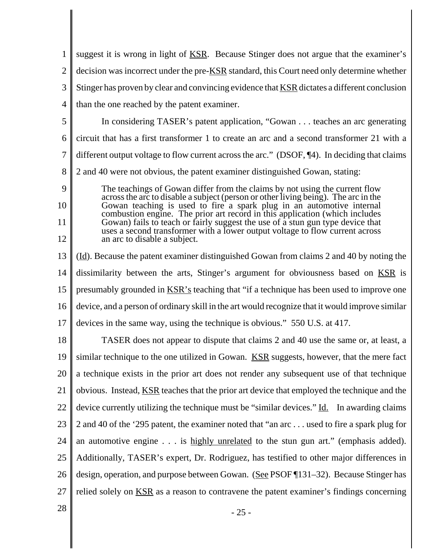1 2 3 4 5 6 7 8 9 10 11 12 13 14 15 16 17 18 19 20 21 22 23 24 25 26 27  $28 \parallel$  - 25 suggest it is wrong in light of <u>KSR</u>. Because Stinger does not argue that the examiner's decision was incorrect under the pre-KSR standard, this Court need only determine whether Stinger has proven by clear and convincing evidence that KSR dictates a different conclusion than the one reached by the patent examiner. In considering TASER's patent application, "Gowan . . . teaches an arc generating circuit that has a first transformer 1 to create an arc and a second transformer 21 with a different output voltage to flow current across the arc." (DSOF, ¶4). In deciding that claims 2 and 40 were not obvious, the patent examiner distinguished Gowan, stating: The teachings of Gowan differ from the claims by not using the current flow across the arc to disable a subject (person or other living being). The arc in the Gowan teaching is used to fire a spark plug in an automotive internal combustion engine. The prior art record in this application (which includes Gowan) fails to teach or fairly suggest the use of a stun gun type device that uses a second transformer with a lower output voltage to flow current across an arc to disable a subject. (Id). Because the patent examiner distinguished Gowan from claims 2 and 40 by noting the dissimilarity between the arts, Stinger's argument for obviousness based on KSR is presumably grounded in <u>KSR's</u> teaching that "if a technique has been used to improve one device, and a person of ordinary skill in the art would recognize that it would improve similar devices in the same way, using the technique is obvious." 550 U.S. at 417. TASER does not appear to dispute that claims 2 and 40 use the same or, at least, a similar technique to the one utilized in Gowan. KSR suggests, however, that the mere fact a technique exists in the prior art does not render any subsequent use of that technique obvious. Instead, KSR teaches that the prior art device that employed the technique and the device currently utilizing the technique must be "similar devices." Id. In awarding claims 2 and 40 of the '295 patent, the examiner noted that "an arc . . . used to fire a spark plug for an automotive engine . . . is highly unrelated to the stun gun art." (emphasis added). Additionally, TASER's expert, Dr. Rodriguez, has testified to other major differences in design, operation, and purpose between Gowan. (See PSOF 131–32). Because Stinger has relied solely on **KSR** as a reason to contravene the patent examiner's findings concerning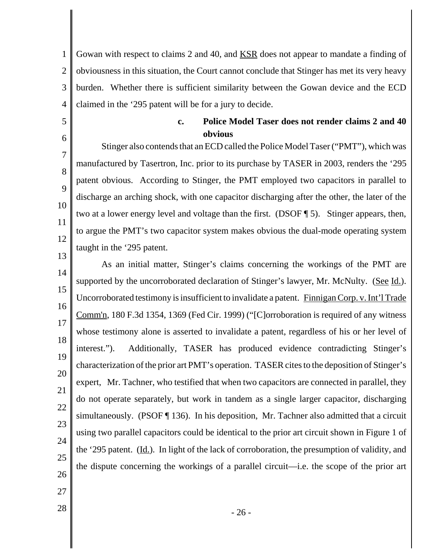1 2 3 4 Gowan with respect to claims 2 and 40, and KSR does not appear to mandate a finding of obviousness in this situation, the Court cannot conclude that Stinger has met its very heavy burden. Whether there is sufficient similarity between the Gowan device and the ECD claimed in the '295 patent will be for a jury to decide.

5

6

27

# **c. Police Model Taser does not render claims 2 and 40 obvious**

7 8  $\mathbf Q$ 10 11 12 Stinger also contends that an ECD called the Police Model Taser ("PMT"), which was manufactured by Tasertron, Inc. prior to its purchase by TASER in 2003, renders the '295 patent obvious. According to Stinger, the PMT employed two capacitors in parallel to discharge an arching shock, with one capacitor discharging after the other, the later of the two at a lower energy level and voltage than the first. (DSOF ¶ 5). Stinger appears, then, to argue the PMT's two capacitor system makes obvious the dual-mode operating system taught in the '295 patent.

13 14 15 16 17 18 19 20 21 22 23 24 25 26 As an initial matter, Stinger's claims concerning the workings of the PMT are supported by the uncorroborated declaration of Stinger's lawyer, Mr. McNulty. (See Id.). Uncorroborated testimony is insufficient to invalidate a patent. Finnigan Corp. v. Int'l Trade Comm'n, 180 F.3d 1354, 1369 (Fed Cir. 1999) ("[C]orroboration is required of any witness whose testimony alone is asserted to invalidate a patent, regardless of his or her level of interest."). Additionally, TASER has produced evidence contradicting Stinger's characterization of the prior art PMT's operation. TASER cites to the deposition of Stinger's expert, Mr. Tachner, who testified that when two capacitors are connected in parallel, they do not operate separately, but work in tandem as a single larger capacitor, discharging simultaneously. (PSOF ¶ 136). In his deposition, Mr. Tachner also admitted that a circuit using two parallel capacitors could be identical to the prior art circuit shown in Figure 1 of the '295 patent. (Id.). In light of the lack of corroboration, the presumption of validity, and the dispute concerning the workings of a parallel circuit—i.e. the scope of the prior art

 $28 \text{ }$  - 26 -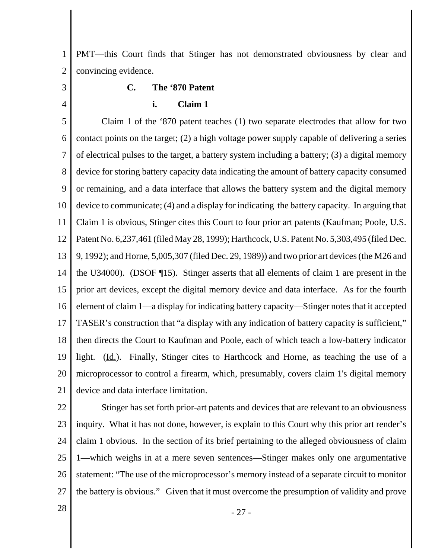1 2 PMT—this Court finds that Stinger has not demonstrated obviousness by clear and convincing evidence.

# 3

4

# **C. The '870 Patent**

# **i. Claim 1**

5 6 7 8 9 10 11 12 13 14 15 16 17 18 19 20 21 Claim 1 of the '870 patent teaches (1) two separate electrodes that allow for two contact points on the target; (2) a high voltage power supply capable of delivering a series of electrical pulses to the target, a battery system including a battery; (3) a digital memory device for storing battery capacity data indicating the amount of battery capacity consumed or remaining, and a data interface that allows the battery system and the digital memory device to communicate; (4) and a display for indicating the battery capacity. In arguing that Claim 1 is obvious, Stinger cites this Court to four prior art patents (Kaufman; Poole, U.S. Patent No. 6,237,461 (filed May 28, 1999); Harthcock, U.S. Patent No. 5,303,495 (filed Dec. 9, 1992); and Horne, 5,005,307 (filed Dec. 29, 1989)) and two prior art devices (the M26 and the U34000). (DSOF ¶15). Stinger asserts that all elements of claim 1 are present in the prior art devices, except the digital memory device and data interface. As for the fourth element of claim 1—a display for indicating battery capacity—Stinger notes that it accepted TASER's construction that "a display with any indication of battery capacity is sufficient," then directs the Court to Kaufman and Poole, each of which teach a low-battery indicator light. (Id.). Finally, Stinger cites to Harthcock and Horne, as teaching the use of a microprocessor to control a firearm, which, presumably, covers claim 1's digital memory device and data interface limitation.

22 23 24 25 26 27 Stinger has set forth prior-art patents and devices that are relevant to an obviousness inquiry. What it has not done, however, is explain to this Court why this prior art render's claim 1 obvious. In the section of its brief pertaining to the alleged obviousness of claim 1—which weighs in at a mere seven sentences—Stinger makes only one argumentative statement: "The use of the microprocessor's memory instead of a separate circuit to monitor the battery is obvious." Given that it must overcome the presumption of validity and prove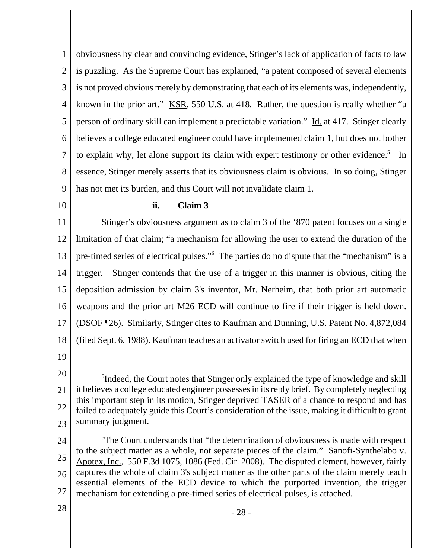1 2 3 4 5 6 7 8 9 obviousness by clear and convincing evidence, Stinger's lack of application of facts to law is puzzling. As the Supreme Court has explained, "a patent composed of several elements is not proved obvious merely by demonstrating that each of its elements was, independently, known in the prior art." KSR, 550 U.S. at 418. Rather, the question is really whether "a person of ordinary skill can implement a predictable variation." Id. at 417. Stinger clearly believes a college educated engineer could have implemented claim 1, but does not bother to explain why, let alone support its claim with expert testimony or other evidence. $5$  In essence, Stinger merely asserts that its obviousness claim is obvious. In so doing, Stinger has not met its burden, and this Court will not invalidate claim 1.

10

#### **ii. Claim 3**

11 12 13 14 15 16 17 18 Stinger's obviousness argument as to claim 3 of the '870 patent focuses on a single limitation of that claim; "a mechanism for allowing the user to extend the duration of the pre-timed series of electrical pulses."<sup>6</sup> The parties do no dispute that the "mechanism" is a trigger. Stinger contends that the use of a trigger in this manner is obvious, citing the deposition admission by claim 3's inventor, Mr. Nerheim, that both prior art automatic weapons and the prior art M26 ECD will continue to fire if their trigger is held down. (DSOF ¶26). Similarly, Stinger cites to Kaufman and Dunning, U.S. Patent No. 4,872,084 (filed Sept. 6, 1988). Kaufman teaches an activator switch used for firing an ECD that when

19

<sup>20</sup> 21 22 23 <sup>5</sup>Indeed, the Court notes that Stinger only explained the type of knowledge and skill it believes a college educated engineer possesses in its reply brief. By completely neglecting this important step in its motion, Stinger deprived TASER of a chance to respond and has failed to adequately guide this Court's consideration of the issue, making it difficult to grant summary judgment.

<sup>24</sup> 25 26 27 6 The Court understands that "the determination of obviousness is made with respect to the subject matter as a whole, not separate pieces of the claim." Sanofi-Synthelabo v. Apotex, Inc., 550 F.3d 1075, 1086 (Fed. Cir. 2008). The disputed element, however, fairly captures the whole of claim 3's subject matter as the other parts of the claim merely teach essential elements of the ECD device to which the purported invention, the trigger mechanism for extending a pre-timed series of electrical pulses, is attached.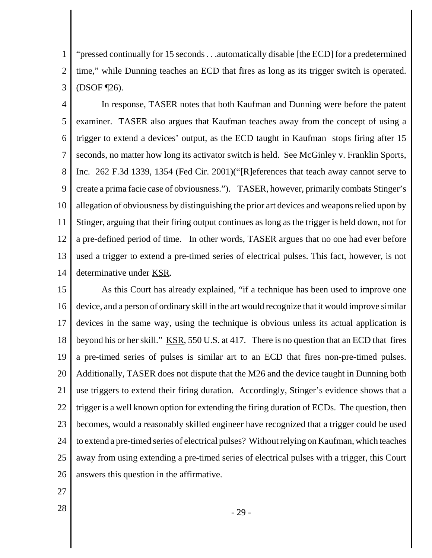1 2 3 "pressed continually for 15 seconds . . .automatically disable [the ECD] for a predetermined time," while Dunning teaches an ECD that fires as long as its trigger switch is operated. (DSOF ¶26).

4 5 6 7 8 9 10 11 12 13 14 In response, TASER notes that both Kaufman and Dunning were before the patent examiner. TASER also argues that Kaufman teaches away from the concept of using a trigger to extend a devices' output, as the ECD taught in Kaufman stops firing after 15 seconds, no matter how long its activator switch is held. See McGinley v. Franklin Sports, Inc. 262 F.3d 1339, 1354 (Fed Cir. 2001)("[R]eferences that teach away cannot serve to create a prima facie case of obviousness."). TASER, however, primarily combats Stinger's allegation of obviousness by distinguishing the prior art devices and weaponsrelied upon by Stinger, arguing that their firing output continues as long as the trigger is held down, not for a pre-defined period of time. In other words, TASER argues that no one had ever before used a trigger to extend a pre-timed series of electrical pulses. This fact, however, is not determinative under KSR.

15 16 17 18 19 20 21 22 23 24 25 26 As this Court has already explained, "if a technique has been used to improve one device, and a person of ordinary skill in the art would recognize that it would improve similar devices in the same way, using the technique is obvious unless its actual application is beyond his or her skill." KSR, 550 U.S. at 417. There is no question that an ECD that fires a pre-timed series of pulses is similar art to an ECD that fires non-pre-timed pulses. Additionally, TASER does not dispute that the M26 and the device taught in Dunning both use triggers to extend their firing duration. Accordingly, Stinger's evidence shows that a trigger is a well known option for extending the firing duration of ECDs. The question, then becomes, would a reasonably skilled engineer have recognized that a trigger could be used to extend a pre-timed series of electrical pulses? Without relying on Kaufman, which teaches away from using extending a pre-timed series of electrical pulses with a trigger, this Court answers this question in the affirmative.

- 27
-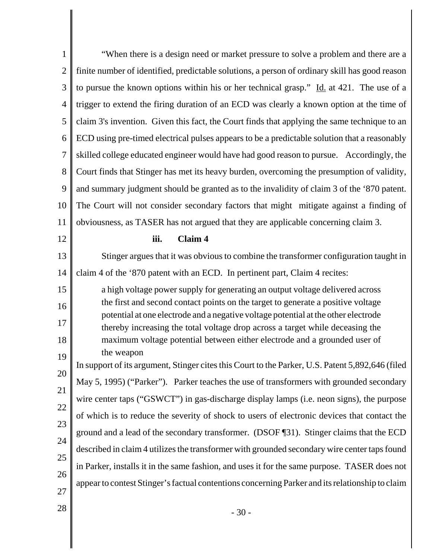| $\mathbf{1}$   | "When there is a design need or market pressure to solve a problem and there are a                                                                                     |
|----------------|------------------------------------------------------------------------------------------------------------------------------------------------------------------------|
| $\overline{2}$ | finite number of identified, predictable solutions, a person of ordinary skill has good reason                                                                         |
| 3              | to pursue the known options within his or her technical grasp." $\underline{Id}$ at 421. The use of a                                                                  |
| $\overline{4}$ | trigger to extend the firing duration of an ECD was clearly a known option at the time of                                                                              |
| 5              | claim 3's invention. Given this fact, the Court finds that applying the same technique to an                                                                           |
| 6              | ECD using pre-timed electrical pulses appears to be a predictable solution that a reasonably                                                                           |
| 7              | skilled college educated engineer would have had good reason to pursue. Accordingly, the                                                                               |
| 8              | Court finds that Stinger has met its heavy burden, overcoming the presumption of validity,                                                                             |
| 9              | and summary judgment should be granted as to the invalidity of claim 3 of the '870 patent.                                                                             |
| 10             | The Court will not consider secondary factors that might mitigate against a finding of                                                                                 |
| 11             | obviousness, as TASER has not argued that they are applicable concerning claim 3.                                                                                      |
| 12             | iii.<br>Claim 4                                                                                                                                                        |
| 13             | Stinger argues that it was obvious to combine the transformer configuration taught in                                                                                  |
| 14             | claim 4 of the '870 patent with an ECD. In pertinent part, Claim 4 recites:                                                                                            |
| 15             | a high voltage power supply for generating an output voltage delivered across                                                                                          |
| 16             | the first and second contact points on the target to generate a positive voltage<br>potential at one electrode and a negative voltage potential at the other electrode |
| 17             | thereby increasing the total voltage drop across a target while deceasing the                                                                                          |
| 18             |                                                                                                                                                                        |
|                | maximum voltage potential between either electrode and a grounded user of                                                                                              |
| 19             | the weapon                                                                                                                                                             |
|                | In support of its argument, Stinger cites this Court to the Parker, U.S. Patent 5,892,646 (filed                                                                       |
|                | May 5, 1995) ("Parker"). Parker teaches the use of transformers with grounded secondary                                                                                |
| 20<br>21<br>22 | wire center taps ("GSWCT") in gas-discharge display lamps (i.e. neon signs), the purpose                                                                               |
| 23             | of which is to reduce the severity of shock to users of electronic devices that contact the                                                                            |
| 24             | ground and a lead of the secondary transformer. (DSOF 131). Stinger claims that the ECD                                                                                |
| 25             | described in claim 4 utilizes the transformer with grounded secondary wire center taps found                                                                           |
| 26             | in Parker, installs it in the same fashion, and uses it for the same purpose. TASER does not                                                                           |
| 27             | appear to contest Stinger's factual contentions concerning Parker and its relationship to claim                                                                        |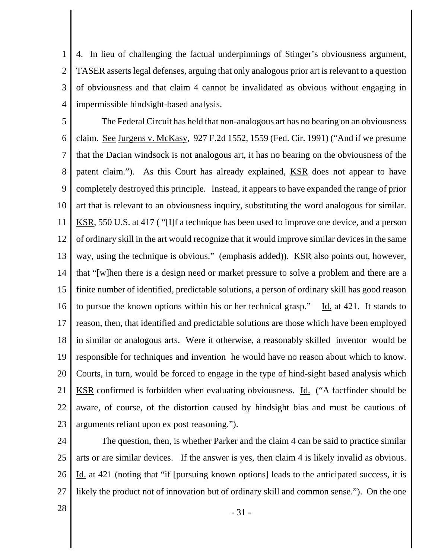1 2 3 4 4. In lieu of challenging the factual underpinnings of Stinger's obviousness argument, TASER asserts legal defenses, arguing that only analogous prior art is relevant to a question of obviousness and that claim 4 cannot be invalidated as obvious without engaging in impermissible hindsight-based analysis.

5 6 7 8 9 10 11 12 13 14 15 16 17 18 19 20 21 22 23 The Federal Circuit has held that non-analogous art has no bearing on an obviousness claim. See Jurgens v. McKasy, 927 F.2d 1552, 1559 (Fed. Cir. 1991) ("And if we presume that the Dacian windsock is not analogous art, it has no bearing on the obviousness of the patent claim."). As this Court has already explained, KSR does not appear to have completely destroyed this principle. Instead, it appears to have expanded the range of prior art that is relevant to an obviousness inquiry, substituting the word analogous for similar. KSR, 550 U.S. at 417 ( "[I]f a technique has been used to improve one device, and a person of ordinary skill in the art would recognize that it would improve similar devices in the same way, using the technique is obvious." (emphasis added)). KSR also points out, however, that "[w]hen there is a design need or market pressure to solve a problem and there are a finite number of identified, predictable solutions, a person of ordinary skill has good reason to pursue the known options within his or her technical grasp." Id. at 421. It stands to reason, then, that identified and predictable solutions are those which have been employed in similar or analogous arts. Were it otherwise, a reasonably skilled inventor would be responsible for techniques and invention he would have no reason about which to know. Courts, in turn, would be forced to engage in the type of hind-sight based analysis which KSR confirmed is forbidden when evaluating obviousness. Id. ("A factfinder should be aware, of course, of the distortion caused by hindsight bias and must be cautious of arguments reliant upon ex post reasoning.").

24 25 26 27 The question, then, is whether Parker and the claim 4 can be said to practice similar arts or are similar devices. If the answer is yes, then claim 4 is likely invalid as obvious. Id. at 421 (noting that "if [pursuing known options] leads to the anticipated success, it is likely the product not of innovation but of ordinary skill and common sense."). On the one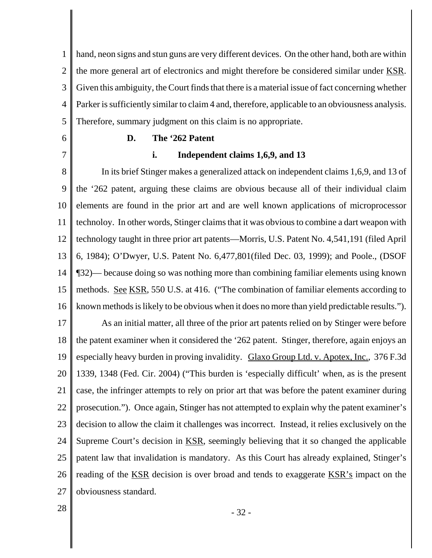1 2 3 4 5 hand, neon signs and stun guns are very different devices. On the other hand, both are within the more general art of electronics and might therefore be considered similar under KSR. Given this ambiguity, the Court finds that there is a material issue of fact concerning whether Parker is sufficiently similar to claim 4 and, therefore, applicable to an obviousness analysis. Therefore, summary judgment on this claim is no appropriate.

6 7

# **D. The '262 Patent**

# **i. Independent claims 1,6,9, and 13**

8 9 10 11 12 13 14 15 16 17 18 In its brief Stinger makes a generalized attack on independent claims 1,6,9, and 13 of the '262 patent, arguing these claims are obvious because all of their individual claim elements are found in the prior art and are well known applications of microprocessor technoloy. In other words, Stinger claims that it was obvious to combine a dart weapon with technology taught in three prior art patents—Morris, U.S. Patent No. 4,541,191 (filed April 6, 1984); O'Dwyer, U.S. Patent No. 6,477,801(filed Dec. 03, 1999); and Poole., (DSOF ¶32)— because doing so was nothing more than combining familiar elements using known methods. See KSR, 550 U.S. at 416. ("The combination of familiar elements according to known methods is likely to be obvious when it does no more than yield predictable results."). As an initial matter, all three of the prior art patents relied on by Stinger were before the patent examiner when it considered the '262 patent. Stinger, therefore, again enjoys an

19 20 21 22 23 24 25 26 27 especially heavy burden in proving invalidity. Glaxo Group Ltd. v. Apotex, Inc., 376 F.3d 1339, 1348 (Fed. Cir. 2004) ("This burden is 'especially difficult' when, as is the present case, the infringer attempts to rely on prior art that was before the patent examiner during prosecution."). Once again, Stinger has not attempted to explain why the patent examiner's decision to allow the claim it challenges was incorrect. Instead, it relies exclusively on the Supreme Court's decision in <u>KSR</u>, seemingly believing that it so changed the applicable patent law that invalidation is mandatory. As this Court has already explained, Stinger's reading of the KSR decision is over broad and tends to exaggerate KSR's impact on the obviousness standard.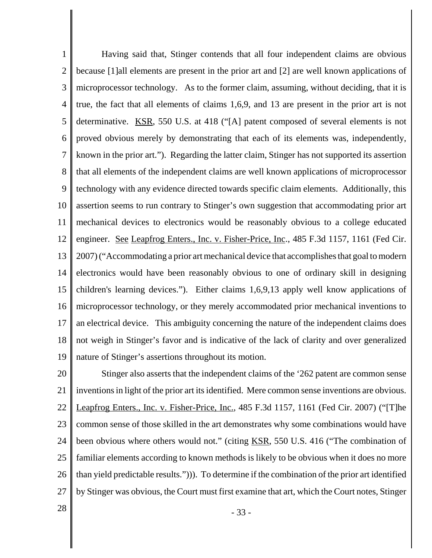1 2 3 4 5 6 7 8 9 10 11 12 13 14 15 16 17 18 19 Having said that, Stinger contends that all four independent claims are obvious because [1]all elements are present in the prior art and [2] are well known applications of microprocessor technology. As to the former claim, assuming, without deciding, that it is true, the fact that all elements of claims 1,6,9, and 13 are present in the prior art is not determinative. KSR, 550 U.S. at 418 ("[A] patent composed of several elements is not proved obvious merely by demonstrating that each of its elements was, independently, known in the prior art."). Regarding the latter claim, Stinger has not supported its assertion that all elements of the independent claims are well known applications of microprocessor technology with any evidence directed towards specific claim elements. Additionally, this assertion seems to run contrary to Stinger's own suggestion that accommodating prior art mechanical devices to electronics would be reasonably obvious to a college educated engineer. See Leapfrog Enters., Inc. v. Fisher-Price, Inc., 485 F.3d 1157, 1161 (Fed Cir. 2007) ("Accommodating a prior art mechanical device that accomplishes that goal to modern electronics would have been reasonably obvious to one of ordinary skill in designing children's learning devices."). Either claims 1,6,9,13 apply well know applications of microprocessor technology, or they merely accommodated prior mechanical inventions to an electrical device. This ambiguity concerning the nature of the independent claims does not weigh in Stinger's favor and is indicative of the lack of clarity and over generalized nature of Stinger's assertions throughout its motion.

20 21 22 23 24 25 26 27 Stinger also asserts that the independent claims of the '262 patent are common sense inventions in light of the prior art its identified. Mere common sense inventions are obvious. Leapfrog Enters., Inc. v. Fisher-Price, Inc., 485 F.3d 1157, 1161 (Fed Cir. 2007) ("[T]he common sense of those skilled in the art demonstrates why some combinations would have been obvious where others would not." (citing KSR, 550 U.S. 416 ("The combination of familiar elements according to known methods is likely to be obvious when it does no more than yield predictable results."))). To determine if the combination of the prior art identified by Stinger was obvious, the Court must first examine that art, which the Court notes, Stinger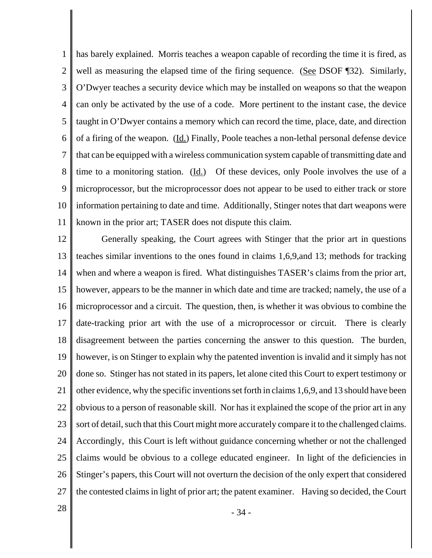1 2 3 4 5 6 7 8 9 10 11 has barely explained. Morris teaches a weapon capable of recording the time it is fired, as well as measuring the elapsed time of the firing sequence. (See DSOF 132). Similarly, O'Dwyer teaches a security device which may be installed on weapons so that the weapon can only be activated by the use of a code. More pertinent to the instant case, the device taught in O'Dwyer contains a memory which can record the time, place, date, and direction of a firing of the weapon. (Id.) Finally, Poole teaches a non-lethal personal defense device that can be equipped with a wireless communication system capable of transmitting date and time to a monitoring station. (Id.) Of these devices, only Poole involves the use of a microprocessor, but the microprocessor does not appear to be used to either track or store information pertaining to date and time. Additionally, Stinger notes that dart weapons were known in the prior art; TASER does not dispute this claim.

12 13 14 15 16 17 18 19 20 21 22 23 24 25 26 27 Generally speaking, the Court agrees with Stinger that the prior art in questions teaches similar inventions to the ones found in claims 1,6,9,and 13; methods for tracking when and where a weapon is fired. What distinguishes TASER's claims from the prior art, however, appears to be the manner in which date and time are tracked; namely, the use of a microprocessor and a circuit. The question, then, is whether it was obvious to combine the date-tracking prior art with the use of a microprocessor or circuit. There is clearly disagreement between the parties concerning the answer to this question. The burden, however, is on Stinger to explain why the patented invention is invalid and it simply has not done so. Stinger has not stated in its papers, let alone cited this Court to expert testimony or other evidence, why the specific inventions set forth in claims 1,6,9, and 13 should have been obvious to a person of reasonable skill. Nor has it explained the scope of the prior art in any sort of detail, such that this Court might more accurately compare it to the challenged claims. Accordingly, this Court is left without guidance concerning whether or not the challenged claims would be obvious to a college educated engineer. In light of the deficiencies in Stinger's papers, this Court will not overturn the decision of the only expert that considered the contested claims in light of prior art; the patent examiner. Having so decided, the Court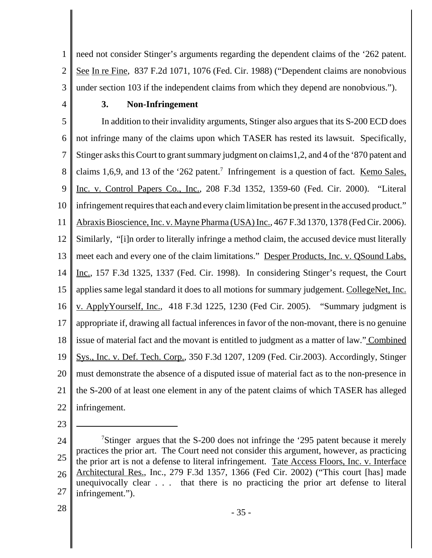1 2 3 need not consider Stinger's arguments regarding the dependent claims of the '262 patent. See In re Fine, 837 F.2d 1071, 1076 (Fed. Cir. 1988) ("Dependent claims are nonobvious under section 103 if the independent claims from which they depend are nonobvious.").

4

# **3. Non-Infringement**

5 6 7 8 9 10 11 12 13 14 15 16 17 18 19 20 21 22 In addition to their invalidity arguments, Stinger also argues that its S-200 ECD does not infringe many of the claims upon which TASER has rested its lawsuit. Specifically, Stinger asks this Court to grant summary judgment on claims1,2, and 4 of the '870 patent and claims 1,6,9, and 13 of the '262 patent.<sup>7</sup> Infringement is a question of fact. Kemo Sales, Inc. v. Control Papers Co., Inc., 208 F.3d 1352, 1359-60 (Fed. Cir. 2000). "Literal infringement requires that each and every claim limitation be present in the accused product." Abraxis Bioscience, Inc. v. Mayne Pharma (USA) Inc., 467 F.3d 1370, 1378 (Fed Cir. 2006). Similarly, "[i]n order to literally infringe a method claim, the accused device must literally meet each and every one of the claim limitations." Desper Products, Inc. v. QSound Labs, Inc., 157 F.3d 1325, 1337 (Fed. Cir. 1998). In considering Stinger's request, the Court applies same legal standard it does to all motions for summary judgement. CollegeNet, Inc. v. ApplyYourself, Inc., 418 F.3d 1225, 1230 (Fed Cir. 2005). "Summary judgment is appropriate if, drawing all factual inferences in favor of the non-movant, there is no genuine issue of material fact and the movant is entitled to judgment as a matter of law." Combined Sys., Inc. v. Def. Tech. Corp., 350 F.3d 1207, 1209 (Fed. Cir.2003). Accordingly, Stinger must demonstrate the absence of a disputed issue of material fact as to the non-presence in the S-200 of at least one element in any of the patent claims of which TASER has alleged infringement.

23

<sup>24</sup> 25 26 27 <sup>7</sup>Stinger argues that the S-200 does not infringe the '295 patent because it merely practices the prior art. The Court need not consider this argument, however, as practicing the prior art is not a defense to literal infringement. Tate Access Floors, Inc. v. Interface Architectural Res., Inc., 279 F.3d 1357, 1366 (Fed Cir. 2002) ("This court [has] made unequivocally clear . . . that there is no practicing the prior art defense to literal infringement.").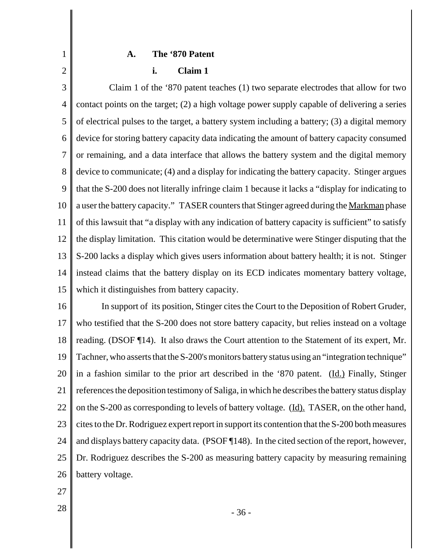#### **A. The '870 Patent**

# **i. Claim 1**

3 4 5 6 7 8 9 10 11 12 13 14 15 Claim 1 of the '870 patent teaches (1) two separate electrodes that allow for two contact points on the target; (2) a high voltage power supply capable of delivering a series of electrical pulses to the target, a battery system including a battery; (3) a digital memory device for storing battery capacity data indicating the amount of battery capacity consumed or remaining, and a data interface that allows the battery system and the digital memory device to communicate; (4) and a display for indicating the battery capacity. Stinger argues that the S-200 does not literally infringe claim 1 because it lacks a "display for indicating to a user the battery capacity." TASER counters that Stinger agreed during the Markman phase of this lawsuit that "a display with any indication of battery capacity is sufficient" to satisfy the display limitation. This citation would be determinative were Stinger disputing that the S-200 lacks a display which gives users information about battery health; it is not. Stinger instead claims that the battery display on its ECD indicates momentary battery voltage, which it distinguishes from battery capacity.

16 17 18 19 20 21 22 23 24 25 26 In support of its position, Stinger cites the Court to the Deposition of Robert Gruder, who testified that the S-200 does not store battery capacity, but relies instead on a voltage reading. (DSOF ¶14). It also draws the Court attention to the Statement of its expert, Mr. Tachner, who asserts that the S-200's monitors battery status using an "integration technique" in a fashion similar to the prior art described in the '870 patent. (Id.) Finally, Stinger references the deposition testimony of Saliga, in which he describes the battery status display on the S-200 as corresponding to levels of battery voltage. (Id). TASER, on the other hand, cites to the Dr. Rodriguez expert report in support its contention that the S-200 both measures and displays battery capacity data. (PSOF ¶148). In the cited section of the report, however, Dr. Rodriguez describes the S-200 as measuring battery capacity by measuring remaining battery voltage.

27

1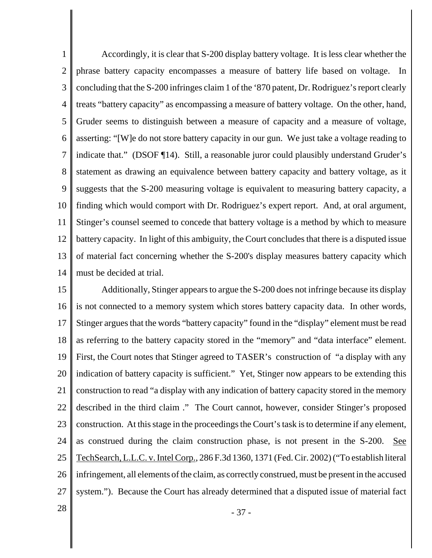1 2 3 4 5 6 7 8 9 10 11 12 13 14 Accordingly, it is clear that S-200 display battery voltage. It is less clear whether the phrase battery capacity encompasses a measure of battery life based on voltage. In concluding that the S-200 infringes claim 1 of the '870 patent, Dr. Rodriguez's report clearly treats "battery capacity" as encompassing a measure of battery voltage. On the other, hand, Gruder seems to distinguish between a measure of capacity and a measure of voltage, asserting: "[W]e do not store battery capacity in our gun. We just take a voltage reading to indicate that." (DSOF ¶14). Still, a reasonable juror could plausibly understand Gruder's statement as drawing an equivalence between battery capacity and battery voltage, as it suggests that the S-200 measuring voltage is equivalent to measuring battery capacity, a finding which would comport with Dr. Rodriguez's expert report. And, at oral argument, Stinger's counsel seemed to concede that battery voltage is a method by which to measure battery capacity. In light of this ambiguity, the Court concludes that there is a disputed issue of material fact concerning whether the S-200's display measures battery capacity which must be decided at trial.

15 16 17 18 19 20 21 22 23 24 25 26 27 Additionally, Stinger appears to argue the S-200 does not infringe because its display is not connected to a memory system which stores battery capacity data. In other words, Stinger argues that the words "battery capacity" found in the "display" element must be read as referring to the battery capacity stored in the "memory" and "data interface" element. First, the Court notes that Stinger agreed to TASER's construction of "a display with any indication of battery capacity is sufficient." Yet, Stinger now appears to be extending this construction to read "a display with any indication of battery capacity stored in the memory described in the third claim ." The Court cannot, however, consider Stinger's proposed construction. At this stage in the proceedings the Court's task is to determine if any element, as construed during the claim construction phase, is not present in the S-200. See TechSearch, L.L.C. v. Intel Corp., 286 F.3d 1360, 1371 (Fed. Cir. 2002) ("To establish literal infringement, all elements of the claim, as correctly construed, must be present in the accused system."). Because the Court has already determined that a disputed issue of material fact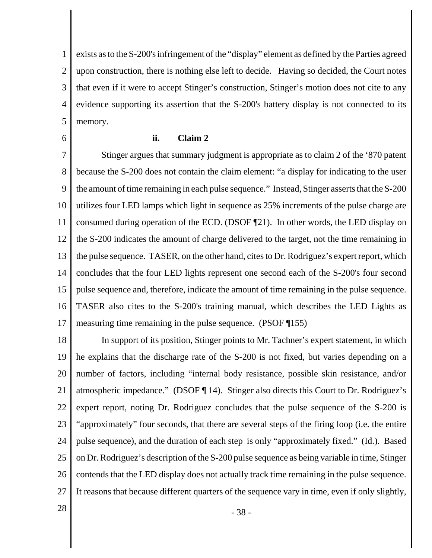1 2 3 4 5 exists as to the S-200's infringement of the "display" element as defined by the Parties agreed upon construction, there is nothing else left to decide. Having so decided, the Court notes that even if it were to accept Stinger's construction, Stinger's motion does not cite to any evidence supporting its assertion that the S-200's battery display is not connected to its memory.

6

# **ii. Claim 2**

7 8 9 10 11 12 13 14 15 16 17 Stinger argues that summary judgment is appropriate as to claim 2 of the '870 patent because the S-200 does not contain the claim element: "a display for indicating to the user the amount of time remaining in each pulse sequence." Instead, Stinger asserts that the S-200 utilizes four LED lamps which light in sequence as 25% increments of the pulse charge are consumed during operation of the ECD. (DSOF ¶21). In other words, the LED display on the S-200 indicates the amount of charge delivered to the target, not the time remaining in the pulse sequence. TASER, on the other hand, cites to Dr. Rodriguez's expert report, which concludes that the four LED lights represent one second each of the S-200's four second pulse sequence and, therefore, indicate the amount of time remaining in the pulse sequence. TASER also cites to the S-200's training manual, which describes the LED Lights as measuring time remaining in the pulse sequence. (PSOF ¶155)

18 19 20 21 22 23 24 25 26 27 In support of its position, Stinger points to Mr. Tachner's expert statement, in which he explains that the discharge rate of the S-200 is not fixed, but varies depending on a number of factors, including "internal body resistance, possible skin resistance, and/or atmospheric impedance." (DSOF ¶ 14). Stinger also directs this Court to Dr. Rodriguez's expert report, noting Dr. Rodriguez concludes that the pulse sequence of the S-200 is "approximately" four seconds, that there are several steps of the firing loop (i.e. the entire pulse sequence), and the duration of each step is only "approximately fixed." (Id.). Based on Dr. Rodriguez's description of the S-200 pulse sequence as being variable in time, Stinger contends that the LED display does not actually track time remaining in the pulse sequence. It reasons that because different quarters of the sequence vary in time, even if only slightly,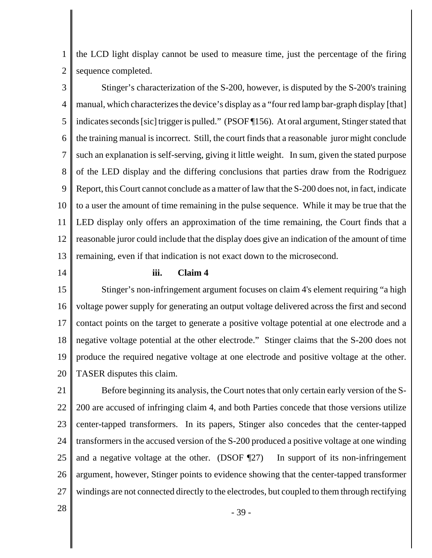1 2 the LCD light display cannot be used to measure time, just the percentage of the firing sequence completed.

3 4 5 6 7 8 9 10 11 12 13 Stinger's characterization of the S-200, however, is disputed by the S-200's training manual, which characterizes the device's display as a "four red lamp bar-graph display [that] indicates seconds [sic] trigger is pulled." (PSOF ¶156). At oral argument, Stinger stated that the training manual is incorrect. Still, the court finds that a reasonable juror might conclude such an explanation is self-serving, giving it little weight. In sum, given the stated purpose of the LED display and the differing conclusions that parties draw from the Rodriguez Report, this Court cannot conclude as a matter of law that the S-200 does not, in fact, indicate to a user the amount of time remaining in the pulse sequence. While it may be true that the LED display only offers an approximation of the time remaining, the Court finds that a reasonable juror could include that the display does give an indication of the amount of time remaining, even if that indication is not exact down to the microsecond.

14

#### **iii. Claim 4**

15 16 17 18 19 20 Stinger's non-infringement argument focuses on claim 4's element requiring "a high voltage power supply for generating an output voltage delivered across the first and second contact points on the target to generate a positive voltage potential at one electrode and a negative voltage potential at the other electrode." Stinger claims that the S-200 does not produce the required negative voltage at one electrode and positive voltage at the other. TASER disputes this claim.

21 22 23 24 25 26 27 Before beginning its analysis, the Court notes that only certain early version of the S-200 are accused of infringing claim 4, and both Parties concede that those versions utilize center-tapped transformers. In its papers, Stinger also concedes that the center-tapped transformers in the accused version of the S-200 produced a positive voltage at one winding and a negative voltage at the other. (DSOF 127) In support of its non-infringement argument, however, Stinger points to evidence showing that the center-tapped transformer windings are not connected directly to the electrodes, but coupled to them through rectifying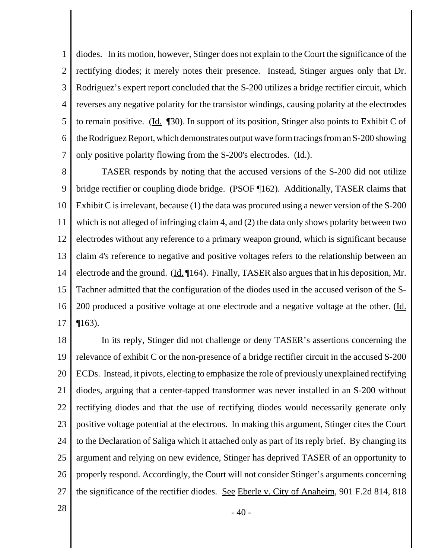1 2 3 4 5 6 7 diodes. In its motion, however, Stinger does not explain to the Court the significance of the rectifying diodes; it merely notes their presence. Instead, Stinger argues only that Dr. Rodriguez's expert report concluded that the S-200 utilizes a bridge rectifier circuit, which reverses any negative polarity for the transistor windings, causing polarity at the electrodes to remain positive. (Id.  $\llbracket 30 \rrbracket$ ). In support of its position, Stinger also points to Exhibit C of the Rodriguez Report, which demonstrates output wave form tracings from an S-200 showing only positive polarity flowing from the S-200's electrodes. (Id.).

8 9 10 11 12 13 14 15 16 17 TASER responds by noting that the accused versions of the S-200 did not utilize bridge rectifier or coupling diode bridge. (PSOF ¶162). Additionally, TASER claims that Exhibit C is irrelevant, because (1) the data was procured using a newer version of the S-200 which is not alleged of infringing claim 4, and (2) the data only shows polarity between two electrodes without any reference to a primary weapon ground, which is significant because claim 4's reference to negative and positive voltages refers to the relationship between an electrode and the ground. (Id. ¶164). Finally, TASER also argues that in his deposition, Mr. Tachner admitted that the configuration of the diodes used in the accused verison of the S-200 produced a positive voltage at one electrode and a negative voltage at the other. (Id. ¶163).

18 19 20 21 22 23 24 25 26 27 In its reply, Stinger did not challenge or deny TASER's assertions concerning the relevance of exhibit C or the non-presence of a bridge rectifier circuit in the accused S-200 ECDs. Instead, it pivots, electing to emphasize the role of previously unexplained rectifying diodes, arguing that a center-tapped transformer was never installed in an S-200 without rectifying diodes and that the use of rectifying diodes would necessarily generate only positive voltage potential at the electrons. In making this argument, Stinger cites the Court to the Declaration of Saliga which it attached only as part of its reply brief. By changing its argument and relying on new evidence, Stinger has deprived TASER of an opportunity to properly respond. Accordingly, the Court will not consider Stinger's arguments concerning the significance of the rectifier diodes. See Eberle v. City of Anaheim, 901 F.2d 814, 818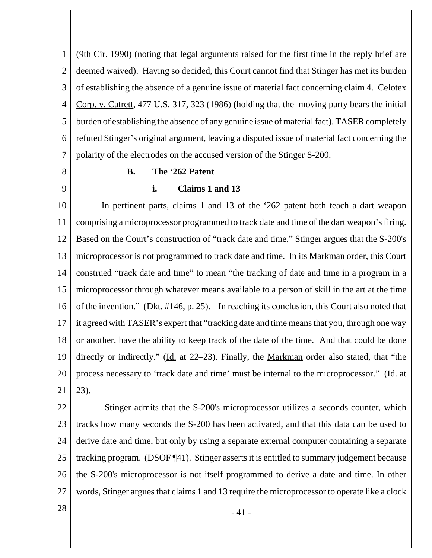1 2 3 4 5 6 7 (9th Cir. 1990) (noting that legal arguments raised for the first time in the reply brief are deemed waived). Having so decided, this Court cannot find that Stinger has met its burden of establishing the absence of a genuine issue of material fact concerning claim 4. Celotex Corp. v. Catrett, 477 U.S. 317, 323 (1986) (holding that the moving party bears the initial burden of establishing the absence of any genuine issue of material fact). TASER completely refuted Stinger's original argument, leaving a disputed issue of material fact concerning the polarity of the electrodes on the accused version of the Stinger S-200.

8

9

# **B. The '262 Patent**

### **i. Claims 1 and 13**

10 11 12 13 14 15 16 17 18 19 20 21 In pertinent parts, claims 1 and 13 of the '262 patent both teach a dart weapon comprising a microprocessor programmed to track date and time of the dart weapon's firing. Based on the Court's construction of "track date and time," Stinger argues that the S-200's microprocessor is not programmed to track date and time. In its Markman order, this Court construed "track date and time" to mean "the tracking of date and time in a program in a microprocessor through whatever means available to a person of skill in the art at the time of the invention." (Dkt. #146, p. 25). In reaching its conclusion, this Court also noted that it agreed with TASER's expert that "tracking date and time means that you, through one way or another, have the ability to keep track of the date of the time. And that could be done directly or indirectly." (Id. at 22–23). Finally, the Markman order also stated, that "the process necessary to 'track date and time' must be internal to the microprocessor." (Id. at 23).

22 23 24 25 26 27 Stinger admits that the S-200's microprocessor utilizes a seconds counter, which tracks how many seconds the S-200 has been activated, and that this data can be used to derive date and time, but only by using a separate external computer containing a separate tracking program. (DSOF ¶41). Stinger asserts it is entitled to summary judgement because the S-200's microprocessor is not itself programmed to derive a date and time. In other words, Stinger argues that claims 1 and 13 require the microprocessor to operate like a clock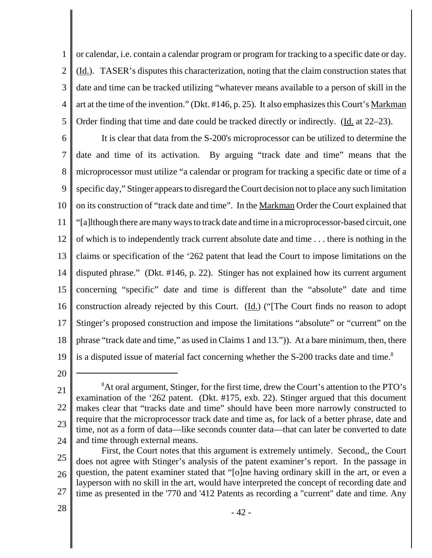1 2 3 4 5 or calendar, i.e. contain a calendar program or program for tracking to a specific date or day. (Id.). TASER's disputes this characterization, noting that the claim construction states that date and time can be tracked utilizing "whatever means available to a person of skill in the art at the time of the invention." (Dkt. #146, p. 25). It also emphasizes this Court's Markman Order finding that time and date could be tracked directly or indirectly. (Id. at 22–23).

6 7 8 9 10 11 12 13 14 15 16 17 18 19 It is clear that data from the S-200's microprocessor can be utilized to determine the date and time of its activation. By arguing "track date and time" means that the microprocessor must utilize "a calendar or program for tracking a specific date or time of a specific day," Stinger appears to disregard the Court decision not to place any such limitation on its construction of "track date and time". In the Markman Order the Court explained that "[a]lthough there are many ways to track date and time in a microprocessor-based circuit, one of which is to independently track current absolute date and time . . . there is nothing in the claims or specification of the '262 patent that lead the Court to impose limitations on the disputed phrase." (Dkt. #146, p. 22). Stinger has not explained how its current argument concerning "specific" date and time is different than the "absolute" date and time construction already rejected by this Court. (Id.) ("[The Court finds no reason to adopt Stinger's proposed construction and impose the limitations "absolute" or "current" on the phrase "track date and time," as used in Claims 1 and 13.")). At a bare minimum, then, there is a disputed issue of material fact concerning whether the S-200 tracks date and time.<sup>8</sup>

<sup>21</sup> 22 23 24 <sup>8</sup>At oral argument, Stinger, for the first time, drew the Court's attention to the PTO's examination of the '262 patent. (Dkt. #175, exb. 22). Stinger argued that this document makes clear that "tracks date and time" should have been more narrowly constructed to require that the microprocessor track date and time as, for lack of a better phrase, date and time, not as a form of data—like seconds counter data—that can later be converted to date and time through external means.

<sup>25</sup> 26 27 First, the Court notes that this argument is extremely untimely. Second,, the Court does not agree with Stinger's analysis of the patent examiner's report. In the passage in question, the patent examiner stated that "[o]ne having ordinary skill in the art, or even a layperson with no skill in the art, would have interpreted the concept of recording date and time as presented in the '770 and '412 Patents as recording a "current" date and time. Any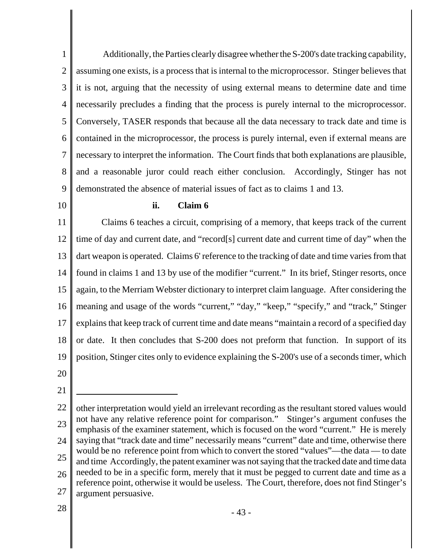1 2 3 4 5 6 7 8 9 Additionally, the Parties clearly disagree whether the S-200's date tracking capability, assuming one exists, is a process that is internal to the microprocessor. Stinger believes that it is not, arguing that the necessity of using external means to determine date and time necessarily precludes a finding that the process is purely internal to the microprocessor. Conversely, TASER responds that because all the data necessary to track date and time is contained in the microprocessor, the process is purely internal, even if external means are necessary to interpret the information. The Court finds that both explanations are plausible, and a reasonable juror could reach either conclusion. Accordingly, Stinger has not demonstrated the absence of material issues of fact as to claims 1 and 13.

10

# **ii. Claim 6**

11 12 13 14 15 16 17 18 19 Claims 6 teaches a circuit, comprising of a memory, that keeps track of the current time of day and current date, and "record[s] current date and current time of day" when the dart weapon is operated. Claims 6' reference to the tracking of date and time varies from that found in claims 1 and 13 by use of the modifier "current." In its brief, Stinger resorts, once again, to the Merriam Webster dictionary to interpret claim language. After considering the meaning and usage of the words "current," "day," "keep," "specify," and "track," Stinger explains that keep track of current time and date means "maintain a record of a specified day or date. It then concludes that S-200 does not preform that function. In support of its position, Stinger cites only to evidence explaining the S-200's use of a seconds timer, which

20

21

<sup>22</sup> 23 24 25 26 27 other interpretation would yield an irrelevant recording as the resultant stored values would not have any relative reference point for comparison." Stinger's argument confuses the emphasis of the examiner statement, which is focused on the word "current." He is merely saying that "track date and time" necessarily means "current" date and time, otherwise there would be no reference point from which to convert the stored "values"—the data — to date and time Accordingly, the patent examiner was not saying that the tracked date and time data needed to be in a specific form, merely that it must be pegged to current date and time as a reference point, otherwise it would be useless. The Court, therefore, does not find Stinger's argument persuasive.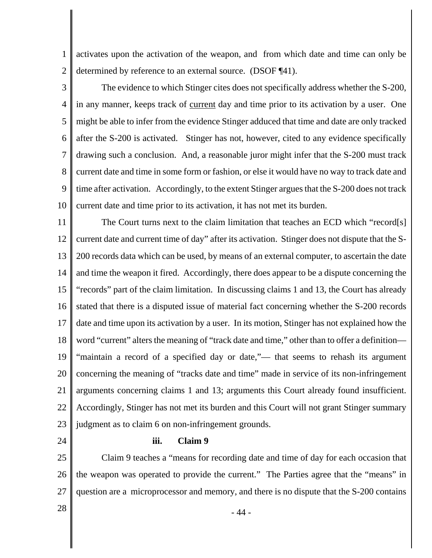1 2 activates upon the activation of the weapon, and from which date and time can only be determined by reference to an external source. (DSOF ¶41).

3 4 5 6 7 8 9 10 The evidence to which Stinger cites does not specifically address whether the S-200, in any manner, keeps track of current day and time prior to its activation by a user. One might be able to infer from the evidence Stinger adduced that time and date are only tracked after the S-200 is activated. Stinger has not, however, cited to any evidence specifically drawing such a conclusion. And, a reasonable juror might infer that the S-200 must track current date and time in some form or fashion, or else it would have no way to track date and time after activation. Accordingly, to the extent Stinger argues that the S-200 does not track current date and time prior to its activation, it has not met its burden.

11 12 13 14 15 16 17 18 19 20 21 22 23 The Court turns next to the claim limitation that teaches an ECD which "record[s] current date and current time of day" after its activation. Stinger does not dispute that the S-200 records data which can be used, by means of an external computer, to ascertain the date and time the weapon it fired. Accordingly, there does appear to be a dispute concerning the "records" part of the claim limitation. In discussing claims 1 and 13, the Court has already stated that there is a disputed issue of material fact concerning whether the S-200 records date and time upon its activation by a user. In its motion, Stinger has not explained how the word "current" alters the meaning of "track date and time," other than to offer a definition— "maintain a record of a specified day or date,"— that seems to rehash its argument concerning the meaning of "tracks date and time" made in service of its non-infringement arguments concerning claims 1 and 13; arguments this Court already found insufficient. Accordingly, Stinger has not met its burden and this Court will not grant Stinger summary judgment as to claim 6 on non-infringement grounds.

24

### **iii. Claim 9**

25 26 27 Claim 9 teaches a "means for recording date and time of day for each occasion that the weapon was operated to provide the current." The Parties agree that the "means" in question are a microprocessor and memory, and there is no dispute that the S-200 contains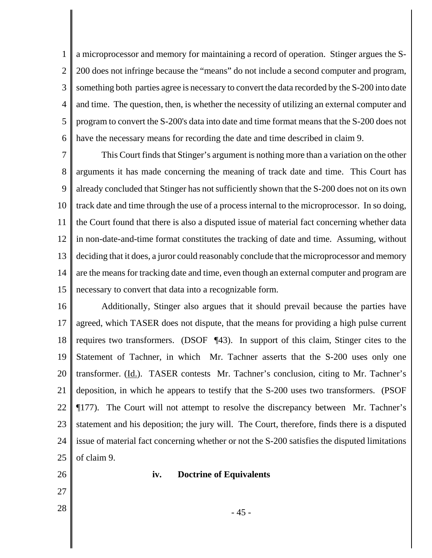1 2 3 4 5 6 a microprocessor and memory for maintaining a record of operation. Stinger argues the S-200 does not infringe because the "means" do not include a second computer and program, something both parties agree is necessary to convert the data recorded by the S-200 into date and time. The question, then, is whether the necessity of utilizing an external computer and program to convert the S-200's data into date and time format means that the S-200 does not have the necessary means for recording the date and time described in claim 9.

7 8 9 10 11 12 13 14 15 This Court finds that Stinger's argument is nothing more than a variation on the other arguments it has made concerning the meaning of track date and time. This Court has already concluded that Stinger has not sufficiently shown that the S-200 does not on its own track date and time through the use of a process internal to the microprocessor. In so doing, the Court found that there is also a disputed issue of material fact concerning whether data in non-date-and-time format constitutes the tracking of date and time. Assuming, without deciding that it does, a juror could reasonably conclude that the microprocessor and memory are the means for tracking date and time, even though an external computer and program are necessary to convert that data into a recognizable form.

16 17 18 19 20 21 22 23 24 25 Additionally, Stinger also argues that it should prevail because the parties have agreed, which TASER does not dispute, that the means for providing a high pulse current requires two transformers. (DSOF ¶43). In support of this claim, Stinger cites to the Statement of Tachner, in which Mr. Tachner asserts that the S-200 uses only one transformer. (Id.). TASER contests Mr. Tachner's conclusion, citing to Mr. Tachner's deposition, in which he appears to testify that the S-200 uses two transformers. (PSOF ¶177). The Court will not attempt to resolve the discrepancy between Mr. Tachner's statement and his deposition; the jury will. The Court, therefore, finds there is a disputed issue of material fact concerning whether or not the S-200 satisfies the disputed limitations of claim 9.

- 26
	-

27

# **iv. Doctrine of Equivalents**

 $28 \parallel$  - 45 -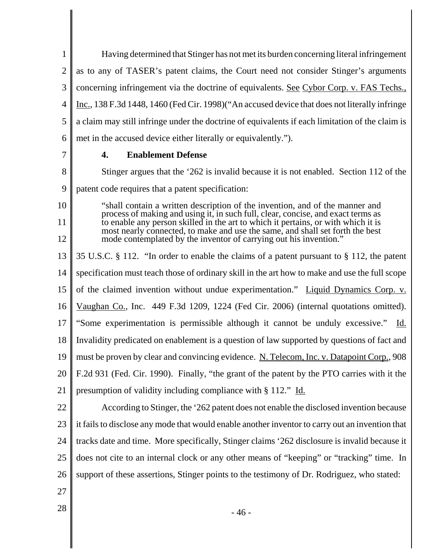1 2 3 4 5 6 Having determined that Stinger has not met its burden concerning literal infringement as to any of TASER's patent claims, the Court need not consider Stinger's arguments concerning infringement via the doctrine of equivalents. See Cybor Corp. v. FAS Techs., Inc., 138 F.3d 1448, 1460 (Fed Cir. 1998)("An accused device that does not literally infringe a claim may still infringe under the doctrine of equivalents if each limitation of the claim is met in the accused device either literally or equivalently.").

7

# **4. Enablement Defense**

8 9 10 11 12 13 14 15 16 17 18 19 20 21 22 23 Stinger argues that the '262 is invalid because it is not enabled. Section 112 of the patent code requires that a patent specification: "shall contain a written description of the invention, and of the manner and process of making and using it, in such full, clear, concise, and exact terms as to enable any person skilled in the art to which it pertains, or with which it is most nearly connected, to make and use the same, and shall set forth the best mode contemplated by the inventor of carrying out his invention." 35 U.S.C. § 112. "In order to enable the claims of a patent pursuant to § 112, the patent specification must teach those of ordinary skill in the art how to make and use the full scope of the claimed invention without undue experimentation." Liquid Dynamics Corp. v. Vaughan Co., Inc. 449 F.3d 1209, 1224 (Fed Cir. 2006) (internal quotations omitted). "Some experimentation is permissible although it cannot be unduly excessive." Id. Invalidity predicated on enablement is a question of law supported by questions of fact and must be proven by clear and convincing evidence. N. Telecom, Inc. v. Datapoint Corp., 908 F.2d 931 (Fed. Cir. 1990). Finally, "the grant of the patent by the PTO carries with it the presumption of validity including compliance with § 112." Id. According to Stinger, the '262 patent does not enable the disclosed invention because it fails to disclose any mode that would enable another inventor to carry out an invention that

24 25 tracks date and time. More specifically, Stinger claims '262 disclosure is invalid because it does not cite to an internal clock or any other means of "keeping" or "tracking" time. In

26 support of these assertions, Stinger points to the testimony of Dr. Rodriguez, who stated:

- 27
-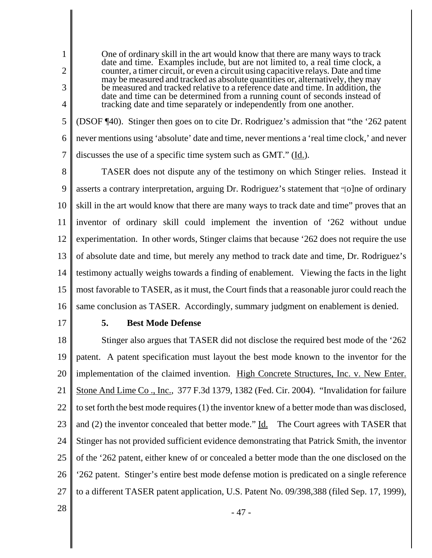One of ordinary skill in the art would know that there are many ways to track date and time. Examples include, but are not limited to, a real time clock, a counter, a timer circuit, or even a circuit using capacitive relays. Date and time may be measured and tracked as absolute quantities or, alternatively, they may be measured and tracked relative to a reference date and time. In addition, the date and time can be determined from a running count of seconds instead of tracking date and time separately or independently from one another.

5 6 7 (DSOF ¶40). Stinger then goes on to cite Dr. Rodriguez's admission that "the '262 patent never mentions using 'absolute' date and time, never mentions a 'real time clock,' and never discusses the use of a specific time system such as GMT." (Id.).

8 9 10 11 12 13 14 15 16 TASER does not dispute any of the testimony on which Stinger relies. Instead it asserts a contrary interpretation, arguing Dr. Rodriguez's statement that "[o]ne of ordinary skill in the art would know that there are many ways to track date and time" proves that an inventor of ordinary skill could implement the invention of '262 without undue experimentation. In other words, Stinger claims that because '262 does not require the use of absolute date and time, but merely any method to track date and time, Dr. Rodriguez's testimony actually weighs towards a finding of enablement. Viewing the facts in the light most favorable to TASER, as it must, the Court finds that a reasonable juror could reach the same conclusion as TASER. Accordingly, summary judgment on enablement is denied.

17

1

2

3

4

# **5. Best Mode Defense**

18 19 20 21 22 23 24 25 26 27 Stinger also argues that TASER did not disclose the required best mode of the '262 patent. A patent specification must layout the best mode known to the inventor for the implementation of the claimed invention. High Concrete Structures, Inc. v. New Enter. Stone And Lime Co., Inc., 377 F.3d 1379, 1382 (Fed. Cir. 2004). "Invalidation for failure to set forth the best mode requires (1) the inventor knew of a better mode than was disclosed, and (2) the inventor concealed that better mode." Id. The Court agrees with TASER that Stinger has not provided sufficient evidence demonstrating that Patrick Smith, the inventor of the '262 patent, either knew of or concealed a better mode than the one disclosed on the '262 patent. Stinger's entire best mode defense motion is predicated on a single reference to a different TASER patent application, U.S. Patent No. 09/398,388 (filed Sep. 17, 1999),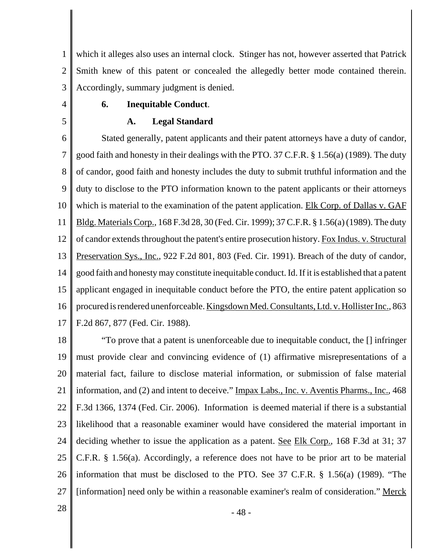1 2 3 which it alleges also uses an internal clock. Stinger has not, however asserted that Patrick Smith knew of this patent or concealed the allegedly better mode contained therein. Accordingly, summary judgment is denied.

4

5

# **6. Inequitable Conduct**.

# **A. Legal Standard**

6 7 8 9 10 11 12 13 14 15 16 17 Stated generally, patent applicants and their patent attorneys have a duty of candor, good faith and honesty in their dealings with the PTO. 37 C.F.R. § 1.56(a) (1989). The duty of candor, good faith and honesty includes the duty to submit truthful information and the duty to disclose to the PTO information known to the patent applicants or their attorneys which is material to the examination of the patent application. Elk Corp. of Dallas v. GAF Bldg. Materials Corp., 168 F.3d 28, 30 (Fed. Cir. 1999); 37 C.F.R. § 1.56(a) (1989). The duty of candor extends throughout the patent's entire prosecution history. Fox Indus. v. Structural Preservation Sys., Inc., 922 F.2d 801, 803 (Fed. Cir. 1991). Breach of the duty of candor, good faith and honesty may constitute inequitable conduct. Id. If it is established that a patent applicant engaged in inequitable conduct before the PTO, the entire patent application so procured is rendered unenforceable. Kingsdown Med. Consultants, Ltd. v. Hollister Inc., 863 F.2d 867, 877 (Fed. Cir. 1988).

18 19 20 21 22 23 24 25 26 27 "To prove that a patent is unenforceable due to inequitable conduct, the [] infringer must provide clear and convincing evidence of (1) affirmative misrepresentations of a material fact, failure to disclose material information, or submission of false material information, and (2) and intent to deceive." Impax Labs., Inc. v. Aventis Pharms., Inc., 468 F.3d 1366, 1374 (Fed. Cir. 2006). Information is deemed material if there is a substantial likelihood that a reasonable examiner would have considered the material important in deciding whether to issue the application as a patent. See Elk Corp., 168 F.3d at 31; 37 C.F.R. § 1.56(a). Accordingly, a reference does not have to be prior art to be material information that must be disclosed to the PTO. See 37 C.F.R. § 1.56(a) (1989). "The [information] need only be within a reasonable examiner's realm of consideration." Merck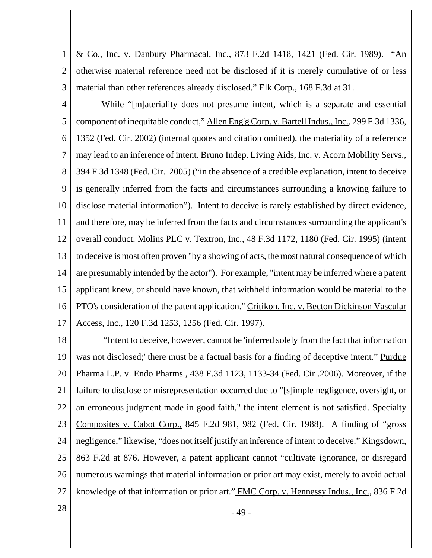1 2 3 & Co., Inc. v. Danbury Pharmacal, Inc., 873 F.2d 1418, 1421 (Fed. Cir. 1989). "An otherwise material reference need not be disclosed if it is merely cumulative of or less material than other references already disclosed." Elk Corp., 168 F.3d at 31.

4 5 6 7 8 9 10 11 12 13 14 15 16 17 While "[m]ateriality does not presume intent, which is a separate and essential component of inequitable conduct," Allen Eng'g Corp. v. Bartell Indus., Inc., 299 F.3d 1336, 1352 (Fed. Cir. 2002) (internal quotes and citation omitted), the materiality of a reference may lead to an inference of intent. Bruno Indep. Living Aids, Inc. v. Acorn Mobility Servs., 394 F.3d 1348 (Fed. Cir. 2005) ("in the absence of a credible explanation, intent to deceive is generally inferred from the facts and circumstances surrounding a knowing failure to disclose material information"). Intent to deceive is rarely established by direct evidence, and therefore, may be inferred from the facts and circumstances surrounding the applicant's overall conduct. Molins PLC v. Textron, Inc., 48 F.3d 1172, 1180 (Fed. Cir. 1995) (intent to deceive is most often proven "by a showing of acts, the most natural consequence of which are presumably intended by the actor"). For example, "intent may be inferred where a patent applicant knew, or should have known, that withheld information would be material to the PTO's consideration of the patent application." Critikon, Inc. v. Becton Dickinson Vascular Access, Inc., 120 F.3d 1253, 1256 (Fed. Cir. 1997).

18 19 20 21 22 23 24 25 26 27 "Intent to deceive, however, cannot be 'inferred solely from the fact that information was not disclosed;' there must be a factual basis for a finding of deceptive intent." Purdue Pharma L.P. v. Endo Pharms., 438 F.3d 1123, 1133-34 (Fed. Cir .2006). Moreover, if the failure to disclose or misrepresentation occurred due to "[s]imple negligence, oversight, or an erroneous judgment made in good faith," the intent element is not satisfied. Specialty Composites v. Cabot Corp., 845 F.2d 981, 982 (Fed. Cir. 1988). A finding of "gross negligence," likewise, "does not itself justify an inference of intent to deceive." <u>Kingsdown</u>, 863 F.2d at 876. However, a patent applicant cannot "cultivate ignorance, or disregard numerous warnings that material information or prior art may exist, merely to avoid actual knowledge of that information or prior art." FMC Corp. v. Hennessy Indus., Inc., 836 F.2d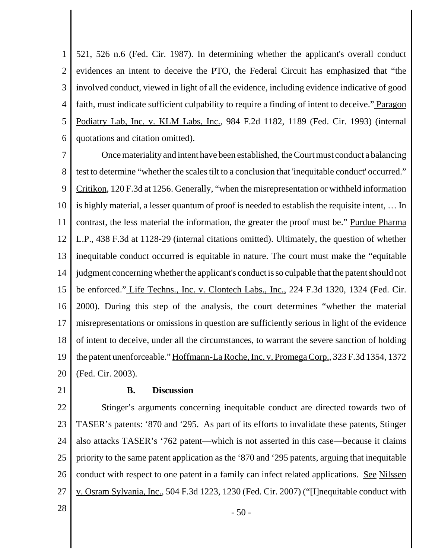1 2 3 4 5 6 521, 526 n.6 (Fed. Cir. 1987). In determining whether the applicant's overall conduct evidences an intent to deceive the PTO, the Federal Circuit has emphasized that "the involved conduct, viewed in light of all the evidence, including evidence indicative of good faith, must indicate sufficient culpability to require a finding of intent to deceive." Paragon Podiatry Lab, Inc. v. KLM Labs, Inc., 984 F.2d 1182, 1189 (Fed. Cir. 1993) (internal quotations and citation omitted).

7 8 9 10 11 12 13 14 15 16 17 18 19 20 Once materiality and intent have been established, the Court must conduct a balancing test to determine "whether the scales tilt to a conclusion that 'inequitable conduct' occurred." Critikon, 120 F.3d at 1256. Generally, "when the misrepresentation or withheld information is highly material, a lesser quantum of proof is needed to establish the requisite intent, … In contrast, the less material the information, the greater the proof must be." Purdue Pharma L.P., 438 F.3d at 1128-29 (internal citations omitted). Ultimately, the question of whether inequitable conduct occurred is equitable in nature. The court must make the "equitable judgment concerning whether the applicant's conduct is so culpable that the patent should not be enforced." Life Techns., Inc. v. Clontech Labs., Inc., 224 F.3d 1320, 1324 (Fed. Cir. 2000). During this step of the analysis, the court determines "whether the material misrepresentations or omissions in question are sufficiently serious in light of the evidence of intent to deceive, under all the circumstances, to warrant the severe sanction of holding the patent unenforceable." Hoffmann-La Roche, Inc. v. Promega Corp., 323 F.3d 1354, 1372 (Fed. Cir. 2003).

21

### **B. Discussion**

22 23 24 25 26 27 Stinger's arguments concerning inequitable conduct are directed towards two of TASER's patents: '870 and '295. As part of its efforts to invalidate these patents, Stinger also attacks TASER's '762 patent—which is not asserted in this case—because it claims priority to the same patent application as the '870 and '295 patents, arguing that inequitable conduct with respect to one patent in a family can infect related applications. See Nilssen v. Osram Sylvania, Inc., 504 F.3d 1223, 1230 (Fed. Cir. 2007) ("[I]nequitable conduct with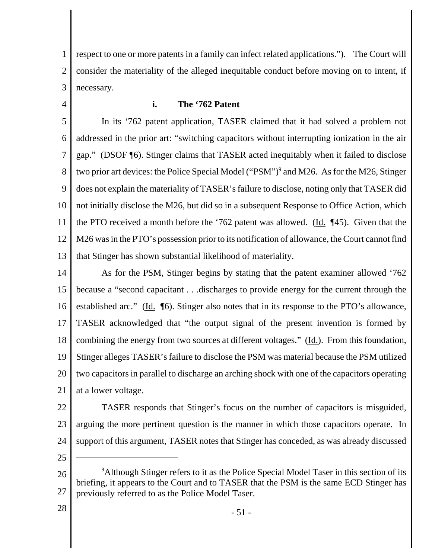1 2 3 respect to one or more patents in a family can infect related applications."). The Court will consider the materiality of the alleged inequitable conduct before moving on to intent, if necessary.

4

# **i. The '762 Patent**

5 6 7 8 9 10 11 12 13 In its '762 patent application, TASER claimed that it had solved a problem not addressed in the prior art: "switching capacitors without interrupting ionization in the air gap." (DSOF ¶6). Stinger claims that TASER acted inequitably when it failed to disclose two prior art devices: the Police Special Model ("PSM")<sup>9</sup> and M26. As for the M26, Stinger does not explain the materiality of TASER's failure to disclose, noting only that TASER did not initially disclose the M26, but did so in a subsequent Response to Office Action, which the PTO received a month before the '762 patent was allowed. (Id. ¶45). Given that the M26 was in the PTO's possession prior to its notification of allowance, the Court cannot find that Stinger has shown substantial likelihood of materiality.

14 15 16 17 18 19 20 21 As for the PSM, Stinger begins by stating that the patent examiner allowed '762 because a "second capacitant . . .discharges to provide energy for the current through the established arc." (Id. ¶6). Stinger also notes that in its response to the PTO's allowance, TASER acknowledged that "the output signal of the present invention is formed by combining the energy from two sources at different voltages." (Id.). From this foundation, Stinger alleges TASER's failure to disclose the PSM was material because the PSM utilized two capacitors in parallel to discharge an arching shock with one of the capacitors operating at a lower voltage.

22 23 24 TASER responds that Stinger's focus on the number of capacitors is misguided, arguing the more pertinent question is the manner in which those capacitors operate. In support of this argument, TASER notes that Stinger has conceded, as was already discussed

25

<sup>26</sup> 27 <sup>9</sup>Although Stinger refers to it as the Police Special Model Taser in this section of its briefing, it appears to the Court and to TASER that the PSM is the same ECD Stinger has previously referred to as the Police Model Taser.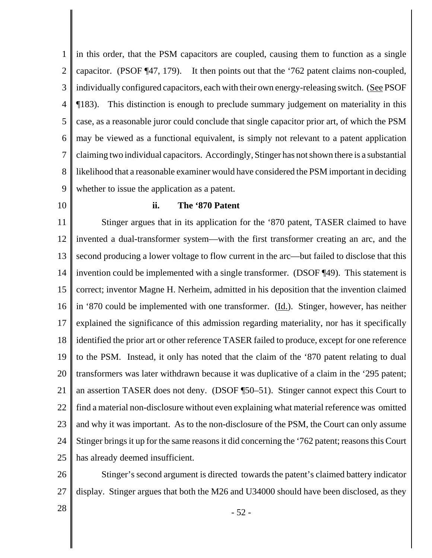1 2 3 4 5 6 7 8 9 in this order, that the PSM capacitors are coupled, causing them to function as a single capacitor. (PSOF ¶47, 179). It then points out that the '762 patent claims non-coupled, individually configured capacitors, each with their own energy-releasing switch. (See PSOF ¶183). This distinction is enough to preclude summary judgement on materiality in this case, as a reasonable juror could conclude that single capacitor prior art, of which the PSM may be viewed as a functional equivalent, is simply not relevant to a patent application claiming two individual capacitors. Accordingly, Stinger has not shown there is a substantial likelihood that a reasonable examiner would have considered the PSM important in deciding whether to issue the application as a patent.

10

#### **ii. The '870 Patent**

11 12 13 14 15 16 17 18 19 20 21 22 23 24 25 Stinger argues that in its application for the '870 patent, TASER claimed to have invented a dual-transformer system—with the first transformer creating an arc, and the second producing a lower voltage to flow current in the arc—but failed to disclose that this invention could be implemented with a single transformer. (DSOF ¶49). This statement is correct; inventor Magne H. Nerheim, admitted in his deposition that the invention claimed in '870 could be implemented with one transformer. (Id.). Stinger, however, has neither explained the significance of this admission regarding materiality, nor has it specifically identified the prior art or other reference TASER failed to produce, except for one reference to the PSM. Instead, it only has noted that the claim of the '870 patent relating to dual transformers was later withdrawn because it was duplicative of a claim in the '295 patent; an assertion TASER does not deny. (DSOF ¶50–51). Stinger cannot expect this Court to find a material non-disclosure without even explaining what material reference was omitted and why it was important. As to the non-disclosure of the PSM, the Court can only assume Stinger brings it up for the same reasons it did concerning the '762 patent; reasons this Court has already deemed insufficient.

26 27 Stinger's second argument is directed towards the patent's claimed battery indicator display. Stinger argues that both the M26 and U34000 should have been disclosed, as they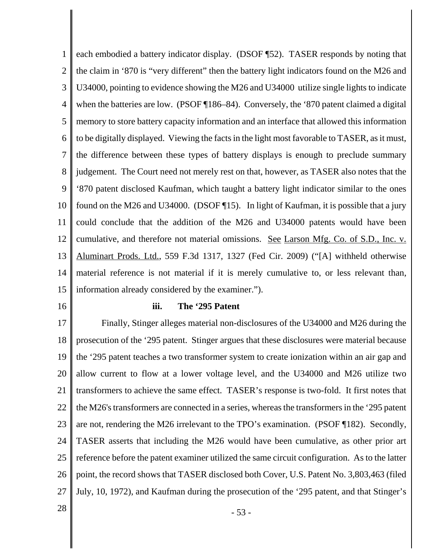1 2 3 4 5 6 7 8 9 10 11 12 13 14 15 each embodied a battery indicator display. (DSOF ¶52). TASER responds by noting that the claim in '870 is "very different" then the battery light indicators found on the M26 and U34000, pointing to evidence showing the M26 and U34000 utilize single lights to indicate when the batteries are low. (PSOF [186–84). Conversely, the '870 patent claimed a digital memory to store battery capacity information and an interface that allowed this information to be digitally displayed. Viewing the facts in the light most favorable to TASER, as it must, the difference between these types of battery displays is enough to preclude summary judgement. The Court need not merely rest on that, however, as TASER also notes that the '870 patent disclosed Kaufman, which taught a battery light indicator similar to the ones found on the M26 and U34000. (DSOF ¶15). In light of Kaufman, it is possible that a jury could conclude that the addition of the M26 and U34000 patents would have been cumulative, and therefore not material omissions. See Larson Mfg. Co. of S.D., Inc. v. Aluminart Prods. Ltd., 559 F.3d 1317, 1327 (Fed Cir. 2009) ("[A] withheld otherwise material reference is not material if it is merely cumulative to, or less relevant than, information already considered by the examiner.").

16

#### **iii. The '295 Patent**

17 18 19 20 21 22 23 24 25 26 27 Finally, Stinger alleges material non-disclosures of the U34000 and M26 during the prosecution of the '295 patent. Stinger argues that these disclosures were material because the '295 patent teaches a two transformer system to create ionization within an air gap and allow current to flow at a lower voltage level, and the U34000 and M26 utilize two transformers to achieve the same effect. TASER's response is two-fold. It first notes that the M26's transformers are connected in a series, whereas the transformers in the '295 patent are not, rendering the M26 irrelevant to the TPO's examination. (PSOF ¶182). Secondly, TASER asserts that including the M26 would have been cumulative, as other prior art reference before the patent examiner utilized the same circuit configuration. As to the latter point, the record shows that TASER disclosed both Cover, U.S. Patent No. 3,803,463 (filed July, 10, 1972), and Kaufman during the prosecution of the '295 patent, and that Stinger's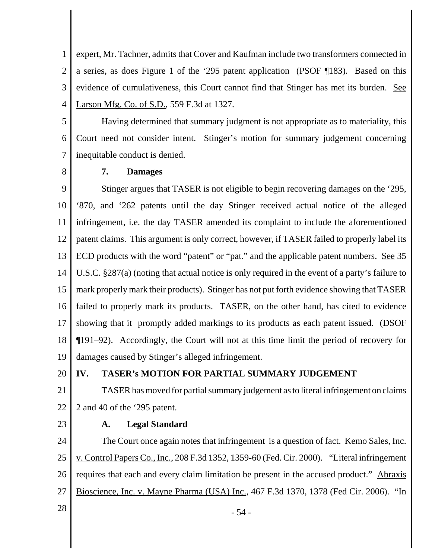1 2 3 4 expert, Mr. Tachner, admits that Cover and Kaufman include two transformers connected in a series, as does Figure 1 of the '295 patent application (PSOF ¶183). Based on this evidence of cumulativeness, this Court cannot find that Stinger has met its burden. See Larson Mfg. Co. of S.D., 559 F.3d at 1327.

5 6 7 Having determined that summary judgment is not appropriate as to materiality, this Court need not consider intent. Stinger's motion for summary judgement concerning inequitable conduct is denied.

8

# **7. Damages**

9 10 11 12 13 14 15 16 17 18 19 Stinger argues that TASER is not eligible to begin recovering damages on the '295, '870, and '262 patents until the day Stinger received actual notice of the alleged infringement, i.e. the day TASER amended its complaint to include the aforementioned patent claims. This argument is only correct, however, if TASER failed to properly label its ECD products with the word "patent" or "pat." and the applicable patent numbers. See 35 U.S.C. §287(a) (noting that actual notice is only required in the event of a party's failure to mark properly mark their products). Stinger has not put forth evidence showing that TASER failed to properly mark its products. TASER, on the other hand, has cited to evidence showing that it promptly added markings to its products as each patent issued. (DSOF ¶191–92). Accordingly, the Court will not at this time limit the period of recovery for damages caused by Stinger's alleged infringement.

#### 20 **IV. TASER's MOTION FOR PARTIAL SUMMARY JUDGEMENT**

21 22 TASER has moved for partial summary judgement as to literal infringement on claims 2 and 40 of the '295 patent.

23

# **A. Legal Standard**

24 25 26 27 The Court once again notes that infringement is a question of fact. <u>Kemo Sales, Inc.</u> v. Control Papers Co., Inc., 208 F.3d 1352, 1359-60 (Fed. Cir. 2000). "Literal infringement requires that each and every claim limitation be present in the accused product." Abraxis Bioscience, Inc. v. Mayne Pharma (USA) Inc., 467 F.3d 1370, 1378 (Fed Cir. 2006). "In

 $28 \parallel -54$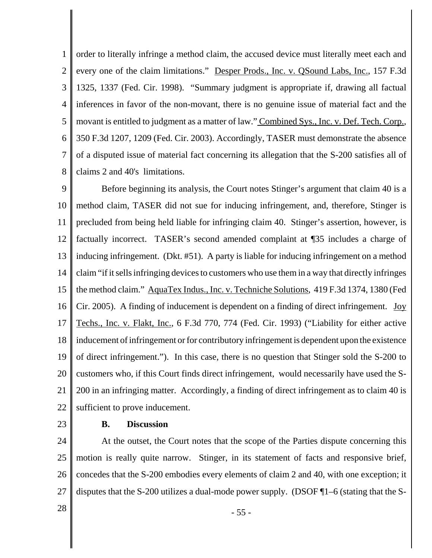1 2 3 4 5 6 7 8 order to literally infringe a method claim, the accused device must literally meet each and every one of the claim limitations." Desper Prods., Inc. v. OSound Labs, Inc., 157 F.3d 1325, 1337 (Fed. Cir. 1998). "Summary judgment is appropriate if, drawing all factual inferences in favor of the non-movant, there is no genuine issue of material fact and the movant is entitled to judgment as a matter of law." Combined Sys., Inc. v. Def. Tech. Corp., 350 F.3d 1207, 1209 (Fed. Cir. 2003). Accordingly, TASER must demonstrate the absence of a disputed issue of material fact concerning its allegation that the S-200 satisfies all of claims 2 and 40's limitations.

9 10 11 12 13 14 15 16 17 18 19 20 21 22 Before beginning its analysis, the Court notes Stinger's argument that claim 40 is a method claim, TASER did not sue for inducing infringement, and, therefore, Stinger is precluded from being held liable for infringing claim 40. Stinger's assertion, however, is factually incorrect. TASER's second amended complaint at ¶35 includes a charge of inducing infringement. (Dkt. #51). A party is liable for inducing infringement on a method claim "if it sells infringing devices to customers who use them in a way that directly infringes the method claim." AquaTex Indus., Inc. v. Techniche Solutions, 419 F.3d 1374, 1380 (Fed Cir. 2005). A finding of inducement is dependent on a finding of direct infringement. Joy Techs., Inc. v. Flakt, Inc., 6 F.3d 770, 774 (Fed. Cir. 1993) ("Liability for either active inducement of infringement or for contributory infringement is dependent upon the existence of direct infringement."). In this case, there is no question that Stinger sold the S-200 to customers who, if this Court finds direct infringement, would necessarily have used the S-200 in an infringing matter. Accordingly, a finding of direct infringement as to claim 40 is sufficient to prove inducement.

23

# **B. Discussion**

24 25 26 27 At the outset, the Court notes that the scope of the Parties dispute concerning this motion is really quite narrow. Stinger, in its statement of facts and responsive brief, concedes that the S-200 embodies every elements of claim 2 and 40, with one exception; it disputes that the S-200 utilizes a dual-mode power supply. (DSOF ¶1–6 (stating that the S-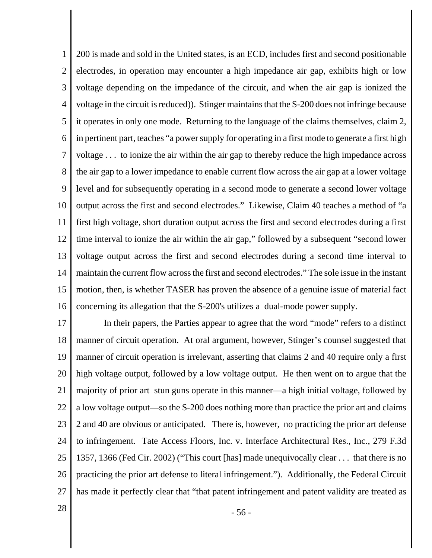1 2 3 4 5 6 7 8 9 10 11 12 13 14 15 16 200 is made and sold in the United states, is an ECD, includes first and second positionable electrodes, in operation may encounter a high impedance air gap, exhibits high or low voltage depending on the impedance of the circuit, and when the air gap is ionized the voltage in the circuit is reduced)). Stinger maintains that the S-200 does not infringe because it operates in only one mode. Returning to the language of the claims themselves, claim 2, in pertinent part, teaches "a power supply for operating in a first mode to generate a first high voltage . . . to ionize the air within the air gap to thereby reduce the high impedance across the air gap to a lower impedance to enable current flow across the air gap at a lower voltage level and for subsequently operating in a second mode to generate a second lower voltage output across the first and second electrodes." Likewise, Claim 40 teaches a method of "a first high voltage, short duration output across the first and second electrodes during a first time interval to ionize the air within the air gap," followed by a subsequent "second lower voltage output across the first and second electrodes during a second time interval to maintain the current flow across the first and second electrodes." The sole issue in the instant motion, then, is whether TASER has proven the absence of a genuine issue of material fact concerning its allegation that the S-200's utilizes a dual-mode power supply.

17 18 19 20 21 22 23 24 25 26 27 In their papers, the Parties appear to agree that the word "mode" refers to a distinct manner of circuit operation. At oral argument, however, Stinger's counsel suggested that manner of circuit operation is irrelevant, asserting that claims 2 and 40 require only a first high voltage output, followed by a low voltage output. He then went on to argue that the majority of prior art stun guns operate in this manner—a high initial voltage, followed by a low voltage output—so the S-200 does nothing more than practice the prior art and claims 2 and 40 are obvious or anticipated. There is, however, no practicing the prior art defense to infringement. Tate Access Floors, Inc. v. Interface Architectural Res., Inc., 279 F.3d 1357, 1366 (Fed Cir. 2002) ("This court [has] made unequivocally clear . . . that there is no practicing the prior art defense to literal infringement."). Additionally, the Federal Circuit has made it perfectly clear that "that patent infringement and patent validity are treated as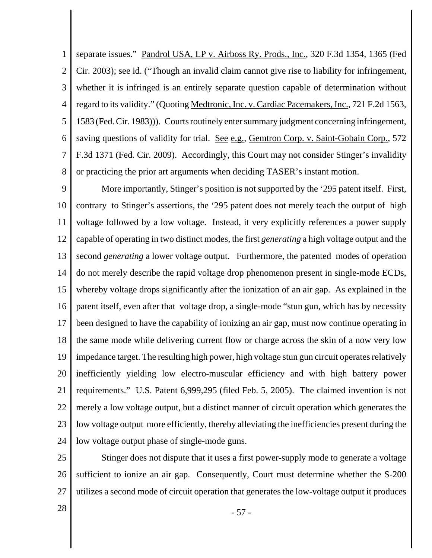1 2 3 4 5 6 7 8 separate issues." Pandrol USA, LP v. Airboss Ry. Prods., Inc., 320 F.3d 1354, 1365 (Fed Cir. 2003); <u>see id.</u> ("Though an invalid claim cannot give rise to liability for infringement, whether it is infringed is an entirely separate question capable of determination without regard to its validity." (Quoting Medtronic, Inc. v. Cardiac Pacemakers, Inc., 721 F.2d 1563, 1583 (Fed. Cir. 1983))). Courts routinely enter summary judgment concerning infringement, saving questions of validity for trial. <u>See e.g.</u>, Gemtron Corp. v. Saint-Gobain Corp., 572 F.3d 1371 (Fed. Cir. 2009). Accordingly, this Court may not consider Stinger's invalidity or practicing the prior art arguments when deciding TASER's instant motion.

9 10 11 12 13 14 15 16 17 18 19 20 21 22 23 24 More importantly, Stinger's position is not supported by the '295 patent itself. First, contrary to Stinger's assertions, the '295 patent does not merely teach the output of high voltage followed by a low voltage. Instead, it very explicitly references a power supply capable of operating in two distinct modes, the first *generating* a high voltage output and the second *generating* a lower voltage output. Furthermore, the patented modes of operation do not merely describe the rapid voltage drop phenomenon present in single-mode ECDs, whereby voltage drops significantly after the ionization of an air gap. As explained in the patent itself, even after that voltage drop, a single-mode "stun gun, which has by necessity been designed to have the capability of ionizing an air gap, must now continue operating in the same mode while delivering current flow or charge across the skin of a now very low impedance target. The resulting high power, high voltage stun gun circuit operates relatively inefficiently yielding low electro-muscular efficiency and with high battery power requirements." U.S. Patent 6,999,295 (filed Feb. 5, 2005). The claimed invention is not merely a low voltage output, but a distinct manner of circuit operation which generates the low voltage output more efficiently, thereby alleviating the inefficiencies present during the low voltage output phase of single-mode guns.

25 26 27 Stinger does not dispute that it uses a first power-supply mode to generate a voltage sufficient to ionize an air gap. Consequently, Court must determine whether the S-200 utilizes a second mode of circuit operation that generates the low-voltage output it produces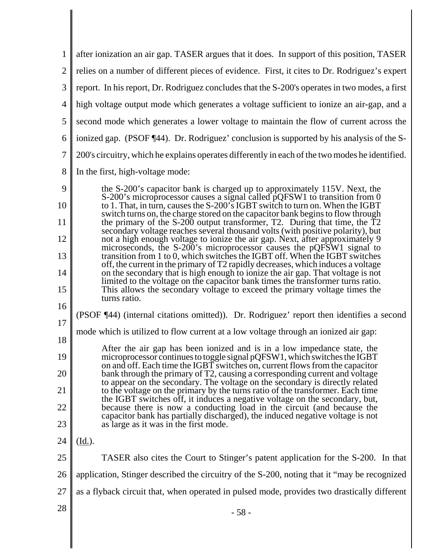| 1              | after ionization an air gap. TASER argues that it does. In support of this position, TASER                                                                                                                                                    |
|----------------|-----------------------------------------------------------------------------------------------------------------------------------------------------------------------------------------------------------------------------------------------|
| $\overline{2}$ | relies on a number of different pieces of evidence. First, it cites to Dr. Rodriguez's expert                                                                                                                                                 |
| 3              | report. In his report, Dr. Rodriguez concludes that the S-200's operates in two modes, a first                                                                                                                                                |
| $\overline{4}$ | high voltage output mode which generates a voltage sufficient to ionize an air-gap, and a                                                                                                                                                     |
| 5              | second mode which generates a lower voltage to maintain the flow of current across the                                                                                                                                                        |
| 6              | ionized gap. (PSOF ¶44). Dr. Rodriguez' conclusion is supported by his analysis of the S-                                                                                                                                                     |
| $\overline{7}$ | 200's circuitry, which he explains operates differently in each of the two modes he identified.                                                                                                                                               |
| 8              | In the first, high-voltage mode:                                                                                                                                                                                                              |
| 9              | the S-200's capacitor bank is charged up to approximately 115V. Next, the                                                                                                                                                                     |
| 10             | S-200's microprocessor causes a signal called pQFSW1 to transition from 0<br>to 1. That, in turn, causes the S-200's IGBT switch to turn on. When the IGBT<br>switch turns on, the charge stored on the capacitor bank begins to flow through |
| 11             | the primary of the $S-200$ output transformer, T2. During that time, the $\overline{T}2$<br>secondary voltage reaches several thousand volts (with positive polarity), but                                                                    |
| 12             | not a high enough voltage to ionize the air gap. Next, after approximately 9<br>microseconds, the S-200's microprocessor causes the pQFSW1 signal to                                                                                          |
| 13             | transition from 1 to 0, which switches the IGBT off. When the IGBT switches<br>off, the current in the primary of T2 rapidly decreases, which induces a voltage                                                                               |
| 14             | on the secondary that is high enough to ionize the air gap. That voltage is not<br>limited to the voltage on the capacitor bank times the transformer turns ratio.                                                                            |
| 15             | This allows the secondary voltage to exceed the primary voltage times the<br>turns ratio.                                                                                                                                                     |
| 16             | (PSOF ¶44) (internal citations omitted)). Dr. Rodriguez' report then identifies a second                                                                                                                                                      |
| 17<br>18       | mode which is utilized to flow current at a low voltage through an ionized air gap:                                                                                                                                                           |
| 19             | After the air gap has been ionized and is in a low impedance state, the<br>microprocessor continues to toggle signal pQFSW1, which switches the IGBT                                                                                          |
| 20             | on and off. Each time the IGBT switches on, current flows from the capacitor<br>bank through the primary of T2, causing a corresponding current and voltage                                                                                   |
| 21             | to appear on the secondary. The voltage on the secondary is directly related<br>to the voltage on the primary by the turns ratio of the transformer. Each time                                                                                |
| 22             | the IGBT switches off, it induces a negative voltage on the secondary, but,<br>because there is now a conducting load in the circuit (and because the                                                                                         |
| 23             | capacitor bank has partially discharged), the induced negative voltage is not<br>as large as it was in the first mode.                                                                                                                        |
| 24             | $(\underline{Id.})$ .                                                                                                                                                                                                                         |
| 25             | TASER also cites the Court to Stinger's patent application for the S-200. In that                                                                                                                                                             |
| 26             | application, Stinger described the circuitry of the S-200, noting that it "may be recognized                                                                                                                                                  |
| 27             | as a flyback circuit that, when operated in pulsed mode, provides two drastically different                                                                                                                                                   |
| 28             | $-58-$                                                                                                                                                                                                                                        |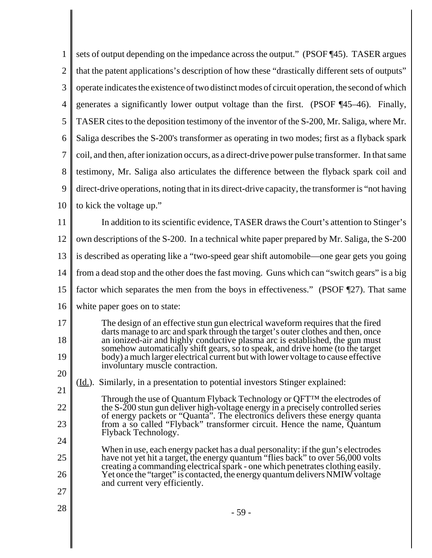| 1              | sets of output depending on the impedance across the output." (PSOF 145). TASER argues                                                                             |
|----------------|--------------------------------------------------------------------------------------------------------------------------------------------------------------------|
| $\overline{2}$ | that the patent applications's description of how these "drastically different sets of outputs"                                                                    |
| 3              | operate indicates the existence of two distinct modes of circuit operation, the second of which                                                                    |
| 4              | generates a significantly lower output voltage than the first. (PSOF ¶45–46). Finally,                                                                             |
| 5              | TASER cites to the deposition testimony of the inventor of the S-200, Mr. Saliga, where Mr.                                                                        |
| 6              | Saliga describes the S-200's transformer as operating in two modes; first as a flyback spark                                                                       |
| 7              | coil, and then, after ionization occurs, as a direct-drive power pulse transformer. In that same                                                                   |
| 8              | testimony, Mr. Saliga also articulates the difference between the flyback spark coil and                                                                           |
| 9              | direct-drive operations, noting that in its direct-drive capacity, the transformer is "not having                                                                  |
| 10             | to kick the voltage up."                                                                                                                                           |
| 11             | In addition to its scientific evidence, TASER draws the Court's attention to Stinger's                                                                             |
| 12             | own descriptions of the S-200. In a technical white paper prepared by Mr. Saliga, the S-200                                                                        |
| 13             | is described as operating like a "two-speed gear shift automobile—one gear gets you going                                                                          |
| 14             | from a dead stop and the other does the fast moving. Guns which can "switch gears" is a big                                                                        |
| 15             | factor which separates the men from the boys in effectiveness." (PSOF 127). That same                                                                              |
| 16             | white paper goes on to state:                                                                                                                                      |
| 17             | The design of an effective stun gun electrical waveform requires that the fired<br>darts manage to arc and spark through the target's outer clothes and then, once |
| 18             | an ionized-air and highly conductive plasma arc is established, the gun must<br>somehow automatically shift gears, so to speak, and drive home (to the target      |
| 19             | body) a much larger electrical current but with lower voltage to cause effective<br>involuntary muscle contraction.                                                |
| 20             | Similarly, in a presentation to potential investors Stinger explained:<br>( <u>Id.</u> ).                                                                          |
| 21             | Through the use of Quantum Flyback Technology or QFT™ the electrodes of                                                                                            |
| 22             | the $S-200$ stun gun deliver high-voltage energy in a precisely controlled series<br>of energy packets or "Quanta". The electronics delivers these energy quanta   |
| 23             | from a so called "Flyback" transformer circuit. Hence the name, Quantum<br>Flyback Technology.                                                                     |
| 24             | When in use, each energy packet has a dual personality: if the gun's electrodes                                                                                    |
| 25             | have not yet hit a target, the energy quantum "flies back" to over 56,000 volts<br>creating a commanding electrical spark - one which penetrates clothing easily.  |
| 26             | Yet once the "target" is contacted, the energy quantum delivers NMIW voltage<br>and current very efficiently.                                                      |
| 27             |                                                                                                                                                                    |
| 28             | - 59 -                                                                                                                                                             |
|                |                                                                                                                                                                    |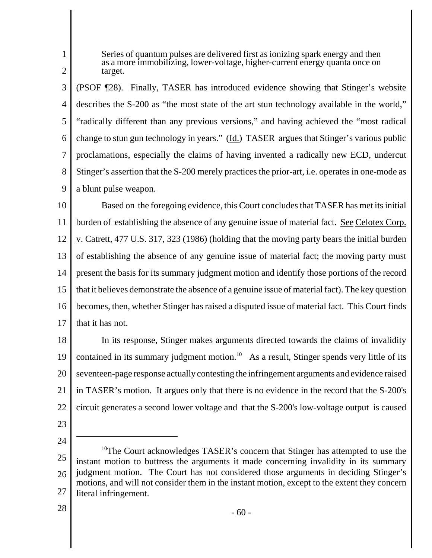1 2 Series of quantum pulses are delivered first as ionizing spark energy and then as a more immobilizing, lower-voltage, higher-current energy quanta once on target.

3 4 5 6 7 8 9 (PSOF ¶28). Finally, TASER has introduced evidence showing that Stinger's website describes the S-200 as "the most state of the art stun technology available in the world," "radically different than any previous versions," and having achieved the "most radical change to stun gun technology in years." (Id.) TASER argues that Stinger's various public proclamations, especially the claims of having invented a radically new ECD, undercut Stinger's assertion that the S-200 merely practices the prior-art, i.e. operates in one-mode as a blunt pulse weapon.

10 11 12 13 14 15 16 17 Based on the foregoing evidence, this Court concludes that TASER has met its initial burden of establishing the absence of any genuine issue of material fact. See Celotex Corp. v. Catrett, 477 U.S. 317, 323 (1986) (holding that the moving party bears the initial burden of establishing the absence of any genuine issue of material fact; the moving party must present the basis for its summary judgment motion and identify those portions of the record that it believes demonstrate the absence of a genuine issue of material fact). The key question becomes, then, whether Stinger has raised a disputed issue of material fact. This Court finds that it has not.

18 19 20 21 22 In its response, Stinger makes arguments directed towards the claims of invalidity contained in its summary judgment motion.<sup>10</sup> As a result, Stinger spends very little of its seventeen-page response actually contesting the infringement arguments and evidence raised in TASER's motion. It argues only that there is no evidence in the record that the S-200's circuit generates a second lower voltage and that the S-200's low-voltage output is caused

- 23
- 24

<sup>25</sup> 26 27 <sup>10</sup>The Court acknowledges TASER's concern that Stinger has attempted to use the instant motion to buttress the arguments it made concerning invalidity in its summary judgment motion. The Court has not considered those arguments in deciding Stinger's motions, and will not consider them in the instant motion, except to the extent they concern literal infringement.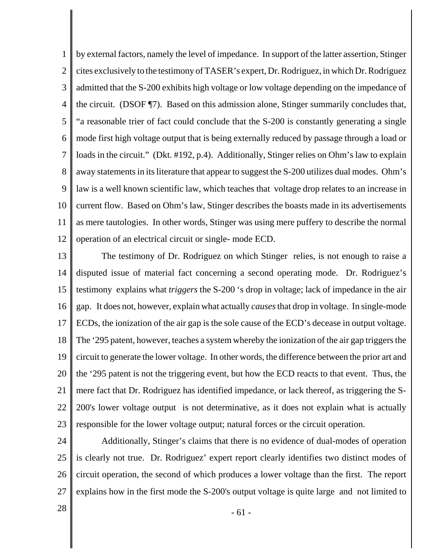1 2 3 4 5 6 7 8 9 10 11 12 by external factors, namely the level of impedance. In support of the latter assertion, Stinger cites exclusively to the testimony of TASER's expert, Dr. Rodriguez, in which Dr. Rodriguez admitted that the S-200 exhibits high voltage or low voltage depending on the impedance of the circuit. (DSOF ¶7). Based on this admission alone, Stinger summarily concludes that, "a reasonable trier of fact could conclude that the S-200 is constantly generating a single mode first high voltage output that is being externally reduced by passage through a load or loads in the circuit." (Dkt. #192, p.4). Additionally, Stinger relies on Ohm's law to explain away statements in its literature that appear to suggest the S-200 utilizes dual modes. Ohm's law is a well known scientific law, which teaches that voltage drop relates to an increase in current flow. Based on Ohm's law, Stinger describes the boasts made in its advertisements as mere tautologies. In other words, Stinger was using mere puffery to describe the normal operation of an electrical circuit or single- mode ECD.

13 14 15 16 17 18 19 20 21 22 23 The testimony of Dr. Rodriguez on which Stinger relies, is not enough to raise a disputed issue of material fact concerning a second operating mode. Dr. Rodriguez's testimony explains what *triggers* the S-200 's drop in voltage; lack of impedance in the air gap. It does not, however, explain what actually *causes* that drop in voltage. In single-mode ECDs, the ionization of the air gap is the sole cause of the ECD's decease in output voltage. The '295 patent, however, teaches a system whereby the ionization of the air gap triggers the circuit to generate the lower voltage. In other words, the difference between the prior art and the '295 patent is not the triggering event, but how the ECD reacts to that event. Thus, the mere fact that Dr. Rodriguez has identified impedance, or lack thereof, as triggering the S-200's lower voltage output is not determinative, as it does not explain what is actually responsible for the lower voltage output; natural forces or the circuit operation.

24 25 26 27 Additionally, Stinger's claims that there is no evidence of dual-modes of operation is clearly not true. Dr. Rodriguez' expert report clearly identifies two distinct modes of circuit operation, the second of which produces a lower voltage than the first. The report explains how in the first mode the S-200's output voltage is quite large and not limited to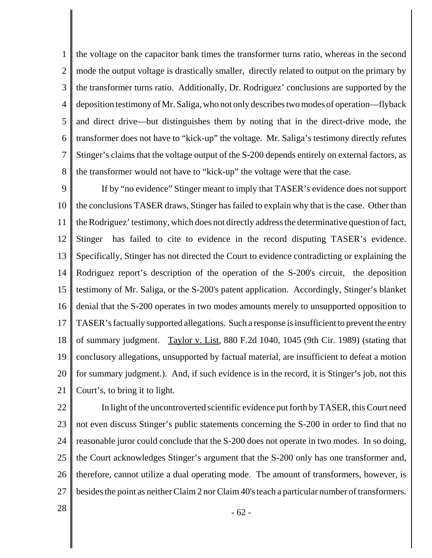1 2 3 4 5 6 7 8 the voltage on the capacitor bank times the transformer turns ratio, whereas in the second mode the output voltage is drastically smaller, directly related to output on the primary by the transformer turns ratio. Additionally, Dr. Rodriguez' conclusions are supported by the deposition testimony of Mr. Saliga, who not only describes two modes of operation—flyback and direct drive—but distinguishes them by noting that in the direct-drive mode, the transformer does not have to "kick-up" the voltage. Mr. Saliga's testimony directly refutes Stinger's claims that the voltage output of the S-200 depends entirely on external factors, as the transformer would not have to "kick-up" the voltage were that the case.

9 10 11 12 13 14 15 16 17 18 19 20 21 If by "no evidence" Stinger meant to imply that TASER's evidence does not support the conclusions TASER draws, Stinger has failed to explain why that is the case. Other than the Rodriguez' testimony, which does not directly address the determinative question of fact, Stinger has failed to cite to evidence in the record disputing TASER's evidence. Specifically, Stinger has not directed the Court to evidence contradicting or explaining the Rodriguez report's description of the operation of the S-200's circuit, the deposition testimony of Mr. Saliga, or the S-200's patent application. Accordingly, Stinger's blanket denial that the S-200 operates in two modes amounts merely to unsupported opposition to TASER's factually supported allegations. Such a response is insufficient to prevent the entry of summary judgment. Taylor v. List, 880 F.2d 1040, 1045 (9th Cir. 1989) (stating that conclusory allegations, unsupported by factual material, are insufficient to defeat a motion for summary judgment.). And, if such evidence is in the record, it is Stinger's job, not this Court's, to bring it to light.

22 23 24 25 26 27 In light of the uncontroverted scientific evidence put forth by TASER, this Court need not even discuss Stinger's public statements concerning the S-200 in order to find that no reasonable juror could conclude that the S-200 does not operate in two modes. In so doing, the Court acknowledges Stinger's argument that the S-200 only has one transformer and, therefore, cannot utilize a dual operating mode. The amount of transformers, however, is besides the point as neither Claim 2 nor Claim 40's teach a particular number of transformers.